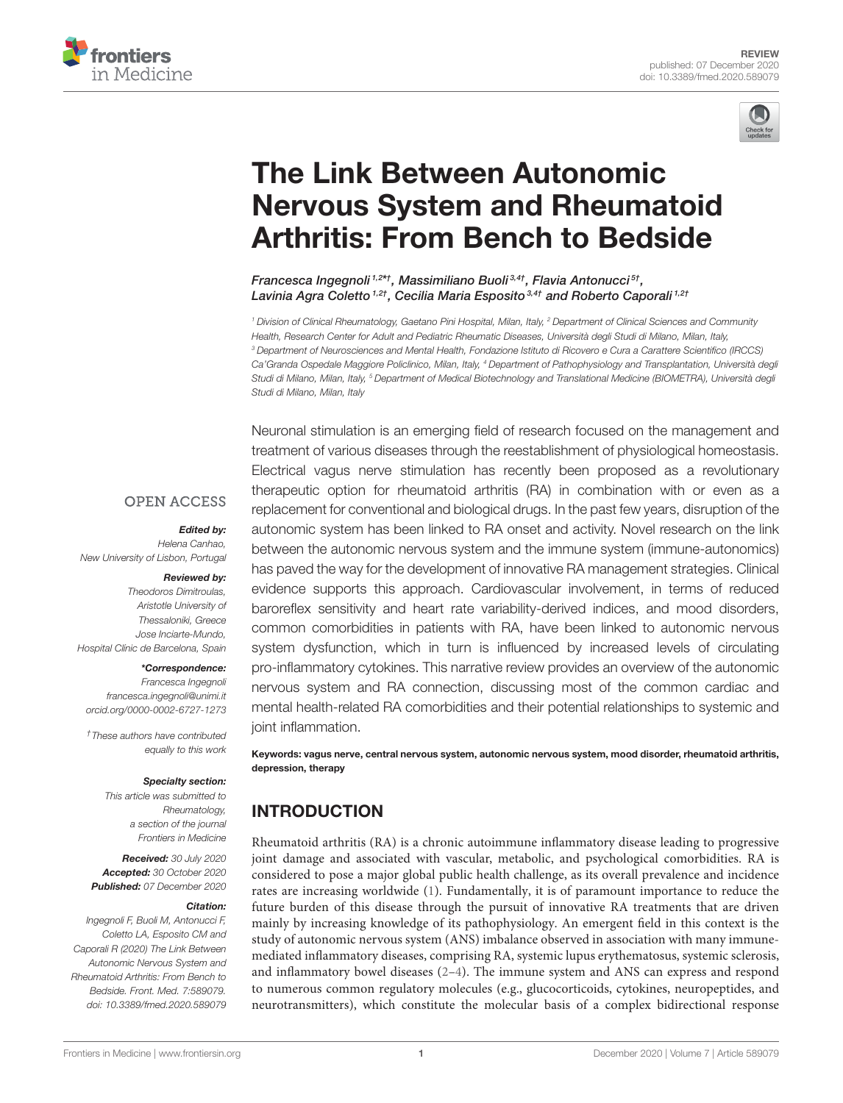



# The Link Between Autonomic [Nervous System and Rheumatoid](https://www.frontiersin.org/articles/10.3389/fmed.2020.589079/full) Arthritis: From Bench to Bedside

Francesca Ingegnoli<sup>1,2\*†</sup>, Massimiliano Buoli<sup>3,4†</sup>, Flavia Antonucci<sup>5†</sup>, Lavinia Agra Coletto<sup>1,2†</sup>, Cecilia Maria Esposito<sup>3,4†</sup> and Roberto Caporali<sup>1,2†</sup>

<sup>1</sup> Division of Clinical Rheumatology, Gaetano Pini Hospital, Milan, Italy, <sup>2</sup> Department of Clinical Sciences and Community Health, Research Center for Adult and Pediatric Rheumatic Diseases, Università degli Studi di Milano, Milan, Italy, <sup>3</sup> Department of Neurosciences and Mental Health, Fondazione Istituto di Ricovero e Cura a Carattere Scientifico (IRCCS) Ca'Granda Ospedale Maggiore Policlinico, Milan, Italy, <sup>4</sup> Department of Pathophysiology and Transplantation, Università degli Studi di Milano, Milan, Italy, <sup>5</sup> Department of Medical Biotechnology and Translational Medicine (BIOMETRA), Università degli Studi di Milano, Milan, Italy

# Neuronal stimulation is an emerging field of research focused on the management and treatment of various diseases through the reestablishment of physiological homeostasis. Electrical vagus nerve stimulation has recently been proposed as a revolutionary therapeutic option for rheumatoid arthritis (RA) in combination with or even as a replacement for conventional and biological drugs. In the past few years, disruption of the autonomic system has been linked to RA onset and activity. Novel research on the link between the autonomic nervous system and the immune system (immune-autonomics) has paved the way for the development of innovative RA management strategies. Clinical evidence supports this approach. Cardiovascular involvement, in terms of reduced baroreflex sensitivity and heart rate variability-derived indices, and mood disorders, common comorbidities in patients with RA, have been linked to autonomic nervous system dysfunction, which in turn is influenced by increased levels of circulating pro-inflammatory cytokines. This narrative review provides an overview of the autonomic nervous system and RA connection, discussing most of the common cardiac and mental health-related RA comorbidities and their potential relationships to systemic and joint inflammation.

Keywords: vagus nerve, central nervous system, autonomic nervous system, mood disorder, rheumatoid arthritis, depression, therapy

# INTRODUCTION

Rheumatoid arthritis (RA) is a chronic autoimmune inflammatory disease leading to progressive joint damage and associated with vascular, metabolic, and psychological comorbidities. RA is considered to pose a major global public health challenge, as its overall prevalence and incidence rates are increasing worldwide [\(1\)](#page-6-0). Fundamentally, it is of paramount importance to reduce the future burden of this disease through the pursuit of innovative RA treatments that are driven mainly by increasing knowledge of its pathophysiology. An emergent field in this context is the study of autonomic nervous system (ANS) imbalance observed in association with many immunemediated inflammatory diseases, comprising RA, systemic lupus erythematosus, systemic sclerosis, and inflammatory bowel diseases  $(2-4)$  $(2-4)$ . The immune system and ANS can express and respond to numerous common regulatory molecules (e.g., glucocorticoids, cytokines, neuropeptides, and neurotransmitters), which constitute the molecular basis of a complex bidirectional response

#### **OPEN ACCESS**

#### Edited by:

Helena Canhao, New University of Lisbon, Portugal

#### Reviewed by:

Theodoros Dimitroulas, Aristotle University of Thessaloniki, Greece Jose Inciarte-Mundo, Hospital Clínic de Barcelona, Spain

#### \*Correspondence:

Francesca Ingegnoli [francesca.ingegnoli@unimi.it](mailto:francesca.ingegnoli@unimi.it) [orcid.org/0000-0002-6727-1273](http://orcid.org/0000-0002-6727-1273)

†These authors have contributed equally to this work

#### Specialty section:

This article was submitted to Rheumatology, a section of the journal Frontiers in Medicine

Received: 30 July 2020 Accepted: 30 October 2020 Published: 07 December 2020

#### Citation:

Ingegnoli F, Buoli M, Antonucci F, Coletto LA, Esposito CM and Caporali R (2020) The Link Between Autonomic Nervous System and Rheumatoid Arthritis: From Bench to Bedside. Front. Med. 7:589079. doi: [10.3389/fmed.2020.589079](https://doi.org/10.3389/fmed.2020.589079)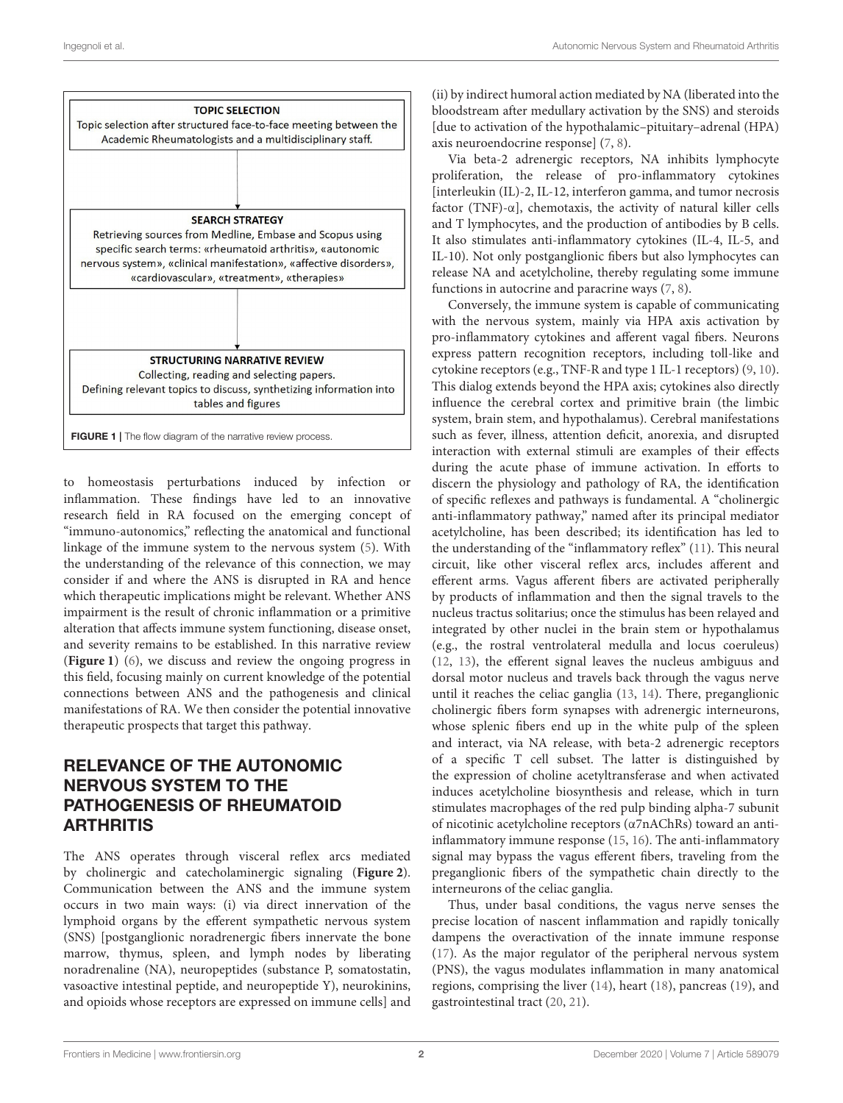

<span id="page-1-0"></span>to homeostasis perturbations induced by infection or inflammation. These findings have led to an innovative research field in RA focused on the emerging concept of "immuno-autonomics," reflecting the anatomical and functional linkage of the immune system to the nervous system [\(5\)](#page-6-3). With the understanding of the relevance of this connection, we may consider if and where the ANS is disrupted in RA and hence which therapeutic implications might be relevant. Whether ANS impairment is the result of chronic inflammation or a primitive alteration that affects immune system functioning, disease onset, and severity remains to be established. In this narrative review (**[Figure 1](#page-1-0)**) [\(6\)](#page-6-4), we discuss and review the ongoing progress in this field, focusing mainly on current knowledge of the potential connections between ANS and the pathogenesis and clinical manifestations of RA. We then consider the potential innovative therapeutic prospects that target this pathway.

# RELEVANCE OF THE AUTONOMIC NERVOUS SYSTEM TO THE PATHOGENESIS OF RHEUMATOID **ARTHRITIS**

The ANS operates through visceral reflex arcs mediated by cholinergic and catecholaminergic signaling (**[Figure 2](#page-2-0)**). Communication between the ANS and the immune system occurs in two main ways: (i) via direct innervation of the lymphoid organs by the efferent sympathetic nervous system (SNS) [postganglionic noradrenergic fibers innervate the bone marrow, thymus, spleen, and lymph nodes by liberating noradrenaline (NA), neuropeptides (substance P, somatostatin, vasoactive intestinal peptide, and neuropeptide Y), neurokinins, and opioids whose receptors are expressed on immune cells] and (ii) by indirect humoral action mediated by NA (liberated into the bloodstream after medullary activation by the SNS) and steroids [due to activation of the hypothalamic–pituitary–adrenal (HPA) axis neuroendocrine response] [\(7,](#page-6-5) [8\)](#page-6-6).

Via beta-2 adrenergic receptors, NA inhibits lymphocyte proliferation, the release of pro-inflammatory cytokines [interleukin (IL)-2, IL-12, interferon gamma, and tumor necrosis factor (TNF)- $\alpha$ ], chemotaxis, the activity of natural killer cells and T lymphocytes, and the production of antibodies by B cells. It also stimulates anti-inflammatory cytokines (IL-4, IL-5, and IL-10). Not only postganglionic fibers but also lymphocytes can release NA and acetylcholine, thereby regulating some immune functions in autocrine and paracrine ways [\(7,](#page-6-5) [8\)](#page-6-6).

Conversely, the immune system is capable of communicating with the nervous system, mainly via HPA axis activation by pro-inflammatory cytokines and afferent vagal fibers. Neurons express pattern recognition receptors, including toll-like and cytokine receptors (e.g., TNF-R and type 1 IL-1 receptors) [\(9,](#page-6-7) [10\)](#page-6-8). This dialog extends beyond the HPA axis; cytokines also directly influence the cerebral cortex and primitive brain (the limbic system, brain stem, and hypothalamus). Cerebral manifestations such as fever, illness, attention deficit, anorexia, and disrupted interaction with external stimuli are examples of their effects during the acute phase of immune activation. In efforts to discern the physiology and pathology of RA, the identification of specific reflexes and pathways is fundamental. A "cholinergic anti-inflammatory pathway," named after its principal mediator acetylcholine, has been described; its identification has led to the understanding of the "inflammatory reflex" [\(11\)](#page-6-9). This neural circuit, like other visceral reflex arcs, includes afferent and efferent arms. Vagus afferent fibers are activated peripherally by products of inflammation and then the signal travels to the nucleus tractus solitarius; once the stimulus has been relayed and integrated by other nuclei in the brain stem or hypothalamus (e.g., the rostral ventrolateral medulla and locus coeruleus) [\(12,](#page-6-10) [13\)](#page-6-11), the efferent signal leaves the nucleus ambiguus and dorsal motor nucleus and travels back through the vagus nerve until it reaches the celiac ganglia [\(13,](#page-6-11) [14\)](#page-6-12). There, preganglionic cholinergic fibers form synapses with adrenergic interneurons, whose splenic fibers end up in the white pulp of the spleen and interact, via NA release, with beta-2 adrenergic receptors of a specific T cell subset. The latter is distinguished by the expression of choline acetyltransferase and when activated induces acetylcholine biosynthesis and release, which in turn stimulates macrophages of the red pulp binding alpha-7 subunit of nicotinic acetylcholine receptors (α7nAChRs) toward an antiinflammatory immune response [\(15,](#page-6-13) [16\)](#page-6-14). The anti-inflammatory signal may bypass the vagus efferent fibers, traveling from the preganglionic fibers of the sympathetic chain directly to the interneurons of the celiac ganglia.

Thus, under basal conditions, the vagus nerve senses the precise location of nascent inflammation and rapidly tonically dampens the overactivation of the innate immune response [\(17\)](#page-6-15). As the major regulator of the peripheral nervous system (PNS), the vagus modulates inflammation in many anatomical regions, comprising the liver [\(14\)](#page-6-12), heart [\(18\)](#page-6-16), pancreas [\(19\)](#page-6-17), and gastrointestinal tract [\(20,](#page-6-18) [21\)](#page-6-19).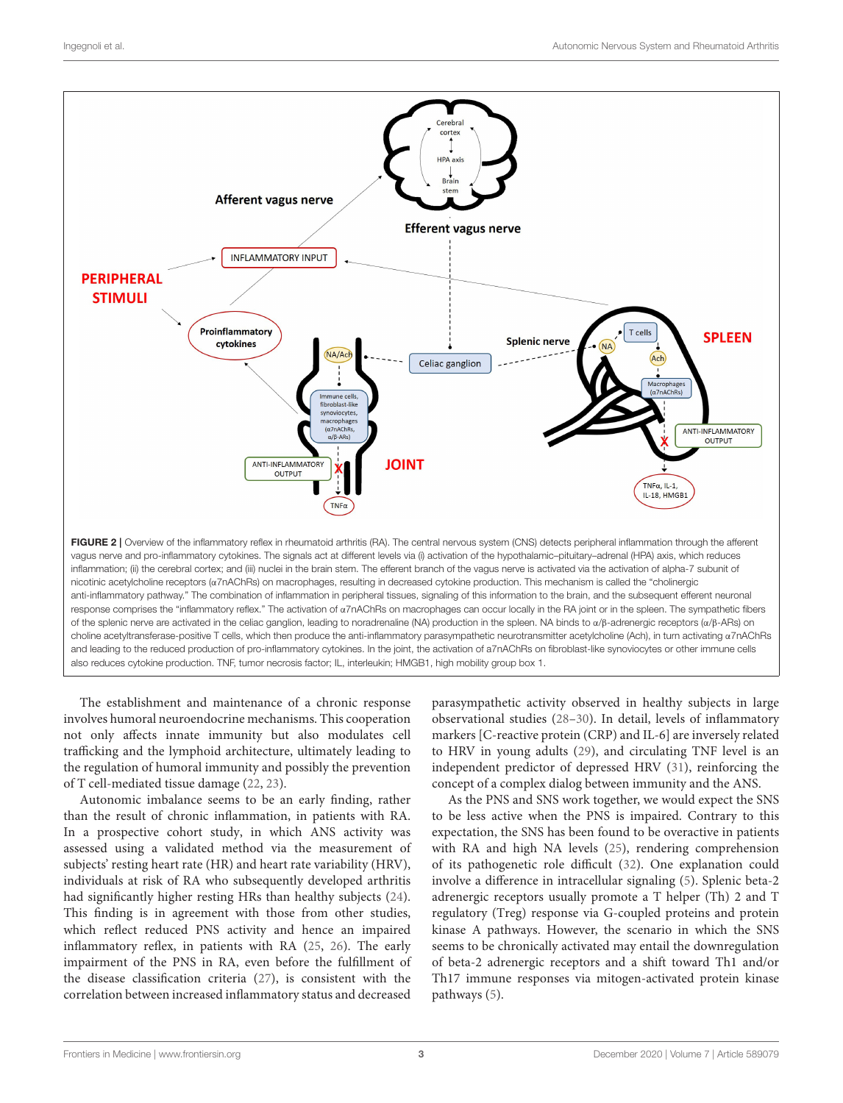

<span id="page-2-0"></span>The establishment and maintenance of a chronic response involves humoral neuroendocrine mechanisms. This cooperation not only affects innate immunity but also modulates cell trafficking and the lymphoid architecture, ultimately leading to the regulation of humoral immunity and possibly the prevention of T cell-mediated tissue damage [\(22,](#page-6-20) [23\)](#page-7-0).

Autonomic imbalance seems to be an early finding, rather than the result of chronic inflammation, in patients with RA. In a prospective cohort study, in which ANS activity was assessed using a validated method via the measurement of subjects' resting heart rate (HR) and heart rate variability (HRV), individuals at risk of RA who subsequently developed arthritis had significantly higher resting HRs than healthy subjects [\(24\)](#page-7-1). This finding is in agreement with those from other studies, which reflect reduced PNS activity and hence an impaired inflammatory reflex, in patients with RA [\(25,](#page-7-2) [26\)](#page-7-3). The early impairment of the PNS in RA, even before the fulfillment of the disease classification criteria [\(27\)](#page-7-4), is consistent with the correlation between increased inflammatory status and decreased parasympathetic activity observed in healthy subjects in large observational studies [\(28–](#page-7-5)[30\)](#page-7-6). In detail, levels of inflammatory markers [C-reactive protein (CRP) and IL-6] are inversely related to HRV in young adults [\(29\)](#page-7-7), and circulating TNF level is an independent predictor of depressed HRV [\(31\)](#page-7-8), reinforcing the concept of a complex dialog between immunity and the ANS.

As the PNS and SNS work together, we would expect the SNS to be less active when the PNS is impaired. Contrary to this expectation, the SNS has been found to be overactive in patients with RA and high NA levels [\(25\)](#page-7-2), rendering comprehension of its pathogenetic role difficult [\(32\)](#page-7-9). One explanation could involve a difference in intracellular signaling [\(5\)](#page-6-3). Splenic beta-2 adrenergic receptors usually promote a T helper (Th) 2 and T regulatory (Treg) response via G-coupled proteins and protein kinase A pathways. However, the scenario in which the SNS seems to be chronically activated may entail the downregulation of beta-2 adrenergic receptors and a shift toward Th1 and/or Th17 immune responses via mitogen-activated protein kinase pathways [\(5\)](#page-6-3).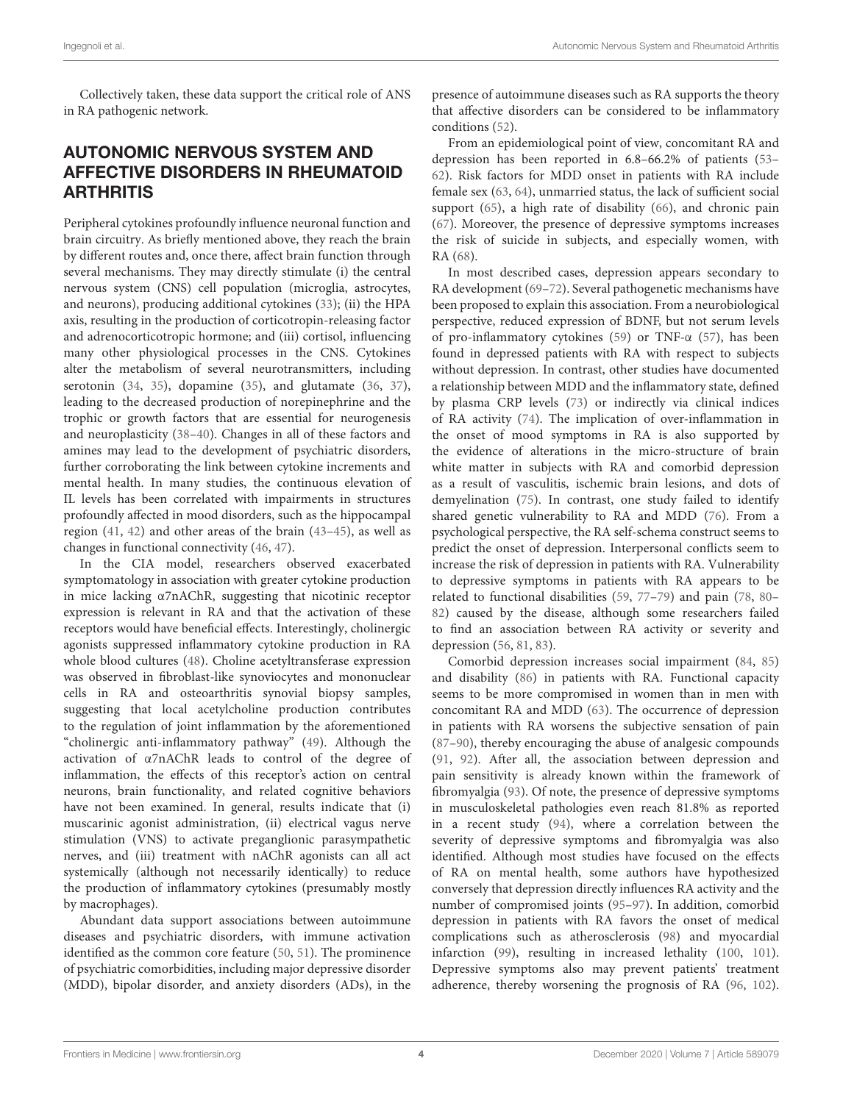Collectively taken, these data support the critical role of ANS in RA pathogenic network.

# AUTONOMIC NERVOUS SYSTEM AND AFFECTIVE DISORDERS IN RHEUMATOID **ARTHRITIS**

Peripheral cytokines profoundly influence neuronal function and brain circuitry. As briefly mentioned above, they reach the brain by different routes and, once there, affect brain function through several mechanisms. They may directly stimulate (i) the central nervous system (CNS) cell population (microglia, astrocytes, and neurons), producing additional cytokines [\(33\)](#page-7-10); (ii) the HPA axis, resulting in the production of corticotropin-releasing factor and adrenocorticotropic hormone; and (iii) cortisol, influencing many other physiological processes in the CNS. Cytokines alter the metabolism of several neurotransmitters, including serotonin [\(34,](#page-7-11) [35\)](#page-7-12), dopamine [\(35\)](#page-7-12), and glutamate [\(36,](#page-7-13) [37\)](#page-7-14), leading to the decreased production of norepinephrine and the trophic or growth factors that are essential for neurogenesis and neuroplasticity [\(38](#page-7-15)[–40\)](#page-7-16). Changes in all of these factors and amines may lead to the development of psychiatric disorders, further corroborating the link between cytokine increments and mental health. In many studies, the continuous elevation of IL levels has been correlated with impairments in structures profoundly affected in mood disorders, such as the hippocampal region [\(41,](#page-7-17) [42\)](#page-7-18) and other areas of the brain [\(43–](#page-7-19)[45\)](#page-7-20), as well as changes in functional connectivity [\(46,](#page-7-21) [47\)](#page-7-22).

In the CIA model, researchers observed exacerbated symptomatology in association with greater cytokine production in mice lacking α7nAChR, suggesting that nicotinic receptor expression is relevant in RA and that the activation of these receptors would have beneficial effects. Interestingly, cholinergic agonists suppressed inflammatory cytokine production in RA whole blood cultures [\(48\)](#page-7-23). Choline acetyltransferase expression was observed in fibroblast-like synoviocytes and mononuclear cells in RA and osteoarthritis synovial biopsy samples, suggesting that local acetylcholine production contributes to the regulation of joint inflammation by the aforementioned "cholinergic anti-inflammatory pathway" [\(49\)](#page-7-24). Although the activation of α7nAChR leads to control of the degree of inflammation, the effects of this receptor's action on central neurons, brain functionality, and related cognitive behaviors have not been examined. In general, results indicate that (i) muscarinic agonist administration, (ii) electrical vagus nerve stimulation (VNS) to activate preganglionic parasympathetic nerves, and (iii) treatment with nAChR agonists can all act systemically (although not necessarily identically) to reduce the production of inflammatory cytokines (presumably mostly by macrophages).

Abundant data support associations between autoimmune diseases and psychiatric disorders, with immune activation identified as the common core feature [\(50,](#page-7-25) [51\)](#page-7-26). The prominence of psychiatric comorbidities, including major depressive disorder (MDD), bipolar disorder, and anxiety disorders (ADs), in the presence of autoimmune diseases such as RA supports the theory that affective disorders can be considered to be inflammatory conditions [\(52\)](#page-7-27).

From an epidemiological point of view, concomitant RA and depression has been reported in 6.8–66.2% of patients [\(53–](#page-7-28) [62\)](#page-8-0). Risk factors for MDD onset in patients with RA include female sex [\(63,](#page-8-1) [64\)](#page-8-2), unmarried status, the lack of sufficient social support [\(65\)](#page-8-3), a high rate of disability [\(66\)](#page-8-4), and chronic pain [\(67\)](#page-8-5). Moreover, the presence of depressive symptoms increases the risk of suicide in subjects, and especially women, with RA [\(68\)](#page-8-6).

In most described cases, depression appears secondary to RA development [\(69–](#page-8-7)[72\)](#page-8-8). Several pathogenetic mechanisms have been proposed to explain this association. From a neurobiological perspective, reduced expression of BDNF, but not serum levels of pro-inflammatory cytokines [\(59\)](#page-7-29) or TNF-α [\(57\)](#page-7-30), has been found in depressed patients with RA with respect to subjects without depression. In contrast, other studies have documented a relationship between MDD and the inflammatory state, defined by plasma CRP levels [\(73\)](#page-8-9) or indirectly via clinical indices of RA activity [\(74\)](#page-8-10). The implication of over-inflammation in the onset of mood symptoms in RA is also supported by the evidence of alterations in the micro-structure of brain white matter in subjects with RA and comorbid depression as a result of vasculitis, ischemic brain lesions, and dots of demyelination [\(75\)](#page-8-11). In contrast, one study failed to identify shared genetic vulnerability to RA and MDD [\(76\)](#page-8-12). From a psychological perspective, the RA self-schema construct seems to predict the onset of depression. Interpersonal conflicts seem to increase the risk of depression in patients with RA. Vulnerability to depressive symptoms in patients with RA appears to be related to functional disabilities [\(59,](#page-7-29) [77](#page-8-13)[–79\)](#page-8-14) and pain [\(78,](#page-8-15) [80–](#page-8-16) [82\)](#page-8-17) caused by the disease, although some researchers failed to find an association between RA activity or severity and depression [\(56,](#page-7-31) [81,](#page-8-18) [83\)](#page-8-19).

Comorbid depression increases social impairment [\(84,](#page-8-20) [85\)](#page-8-21) and disability [\(86\)](#page-8-22) in patients with RA. Functional capacity seems to be more compromised in women than in men with concomitant RA and MDD [\(63\)](#page-8-1). The occurrence of depression in patients with RA worsens the subjective sensation of pain [\(87](#page-8-23)[–90\)](#page-8-24), thereby encouraging the abuse of analgesic compounds [\(91,](#page-8-25) [92\)](#page-8-26). After all, the association between depression and pain sensitivity is already known within the framework of fibromyalgia [\(93\)](#page-8-27). Of note, the presence of depressive symptoms in musculoskeletal pathologies even reach 81.8% as reported in a recent study [\(94\)](#page-8-28), where a correlation between the severity of depressive symptoms and fibromyalgia was also identified. Although most studies have focused on the effects of RA on mental health, some authors have hypothesized conversely that depression directly influences RA activity and the number of compromised joints [\(95–](#page-8-29)[97\)](#page-8-30). In addition, comorbid depression in patients with RA favors the onset of medical complications such as atherosclerosis [\(98\)](#page-8-31) and myocardial infarction [\(99\)](#page-9-0), resulting in increased lethality [\(100,](#page-9-1) [101\)](#page-9-2). Depressive symptoms also may prevent patients' treatment adherence, thereby worsening the prognosis of RA [\(96,](#page-8-32) [102\)](#page-9-3).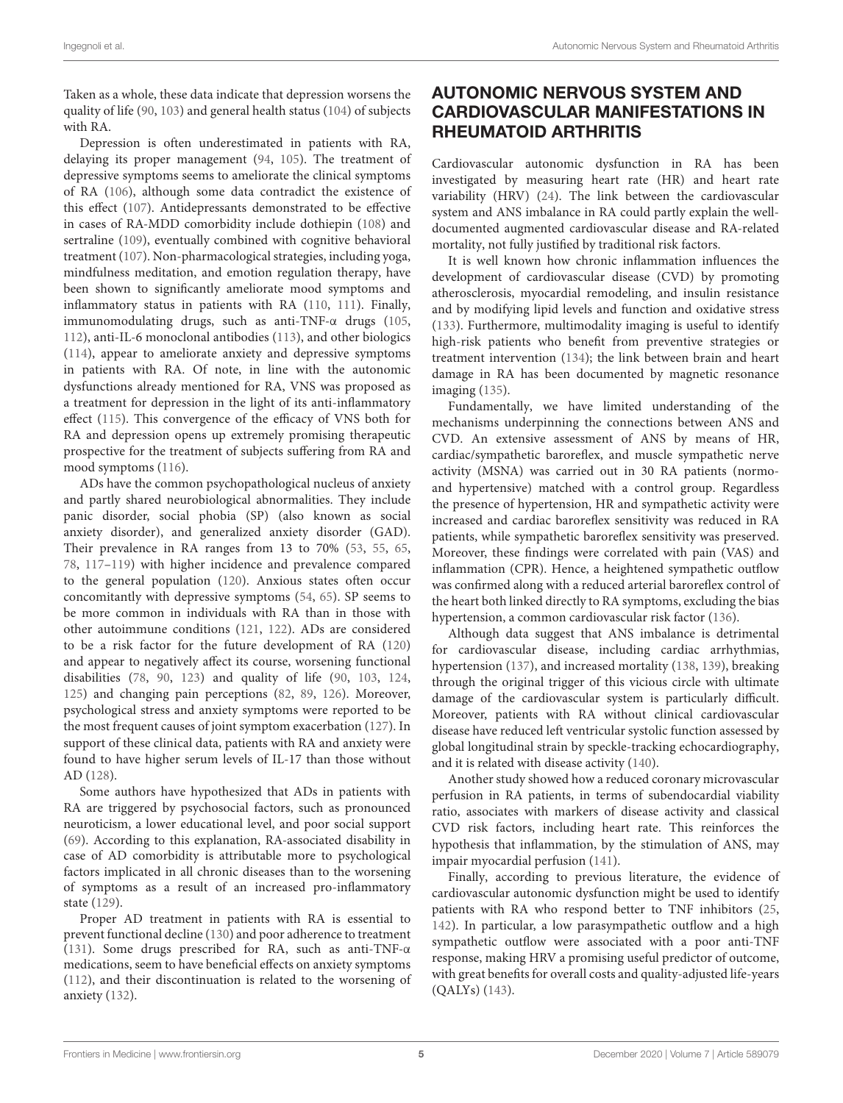Taken as a whole, these data indicate that depression worsens the quality of life [\(90,](#page-8-24) [103\)](#page-9-4) and general health status [\(104\)](#page-9-5) of subjects with RA.

Depression is often underestimated in patients with RA, delaying its proper management [\(94,](#page-8-28) [105\)](#page-9-6). The treatment of depressive symptoms seems to ameliorate the clinical symptoms of RA [\(106\)](#page-9-7), although some data contradict the existence of this effect [\(107\)](#page-9-8). Antidepressants demonstrated to be effective in cases of RA-MDD comorbidity include dothiepin [\(108\)](#page-9-9) and sertraline [\(109\)](#page-9-10), eventually combined with cognitive behavioral treatment [\(107\)](#page-9-8). Non-pharmacological strategies, including yoga, mindfulness meditation, and emotion regulation therapy, have been shown to significantly ameliorate mood symptoms and inflammatory status in patients with RA [\(110,](#page-9-11) [111\)](#page-9-12). Finally, immunomodulating drugs, such as anti-TNF-α drugs [\(105,](#page-9-6) [112\)](#page-9-13), anti-IL-6 monoclonal antibodies [\(113\)](#page-9-14), and other biologics [\(114\)](#page-9-15), appear to ameliorate anxiety and depressive symptoms in patients with RA. Of note, in line with the autonomic dysfunctions already mentioned for RA, VNS was proposed as a treatment for depression in the light of its anti-inflammatory effect [\(115\)](#page-9-16). This convergence of the efficacy of VNS both for RA and depression opens up extremely promising therapeutic prospective for the treatment of subjects suffering from RA and mood symptoms [\(116\)](#page-9-17).

ADs have the common psychopathological nucleus of anxiety and partly shared neurobiological abnormalities. They include panic disorder, social phobia (SP) (also known as social anxiety disorder), and generalized anxiety disorder (GAD). Their prevalence in RA ranges from 13 to 70% [\(53,](#page-7-28) [55,](#page-7-32) [65,](#page-8-3) [78,](#page-8-15) [117–](#page-9-18)[119\)](#page-9-19) with higher incidence and prevalence compared to the general population [\(120\)](#page-9-20). Anxious states often occur concomitantly with depressive symptoms [\(54,](#page-7-33) [65\)](#page-8-3). SP seems to be more common in individuals with RA than in those with other autoimmune conditions [\(121,](#page-9-21) [122\)](#page-9-22). ADs are considered to be a risk factor for the future development of RA [\(120\)](#page-9-20) and appear to negatively affect its course, worsening functional disabilities [\(78,](#page-8-15) [90,](#page-8-24) [123\)](#page-9-23) and quality of life [\(90,](#page-8-24) [103,](#page-9-4) [124,](#page-9-24) [125\)](#page-9-25) and changing pain perceptions [\(82,](#page-8-17) [89,](#page-8-33) [126\)](#page-9-26). Moreover, psychological stress and anxiety symptoms were reported to be the most frequent causes of joint symptom exacerbation [\(127\)](#page-9-27). In support of these clinical data, patients with RA and anxiety were found to have higher serum levels of IL-17 than those without AD [\(128\)](#page-9-28).

Some authors have hypothesized that ADs in patients with RA are triggered by psychosocial factors, such as pronounced neuroticism, a lower educational level, and poor social support [\(69\)](#page-8-7). According to this explanation, RA-associated disability in case of AD comorbidity is attributable more to psychological factors implicated in all chronic diseases than to the worsening of symptoms as a result of an increased pro-inflammatory state [\(129\)](#page-9-29).

Proper AD treatment in patients with RA is essential to prevent functional decline [\(130\)](#page-9-30) and poor adherence to treatment [\(131\)](#page-9-31). Some drugs prescribed for RA, such as anti-TNF-α medications, seem to have beneficial effects on anxiety symptoms [\(112\)](#page-9-13), and their discontinuation is related to the worsening of anxiety [\(132\)](#page-9-32).

# AUTONOMIC NERVOUS SYSTEM AND CARDIOVASCULAR MANIFESTATIONS IN RHEUMATOID ARTHRITIS

Cardiovascular autonomic dysfunction in RA has been investigated by measuring heart rate (HR) and heart rate variability (HRV) [\(24\)](#page-7-1). The link between the cardiovascular system and ANS imbalance in RA could partly explain the welldocumented augmented cardiovascular disease and RA-related mortality, not fully justified by traditional risk factors.

It is well known how chronic inflammation influences the development of cardiovascular disease (CVD) by promoting atherosclerosis, myocardial remodeling, and insulin resistance and by modifying lipid levels and function and oxidative stress [\(133\)](#page-9-33). Furthermore, multimodality imaging is useful to identify high-risk patients who benefit from preventive strategies or treatment intervention [\(134\)](#page-9-34); the link between brain and heart damage in RA has been documented by magnetic resonance imaging [\(135\)](#page-10-0).

Fundamentally, we have limited understanding of the mechanisms underpinning the connections between ANS and CVD. An extensive assessment of ANS by means of HR, cardiac/sympathetic baroreflex, and muscle sympathetic nerve activity (MSNA) was carried out in 30 RA patients (normoand hypertensive) matched with a control group. Regardless the presence of hypertension, HR and sympathetic activity were increased and cardiac baroreflex sensitivity was reduced in RA patients, while sympathetic baroreflex sensitivity was preserved. Moreover, these findings were correlated with pain (VAS) and inflammation (CPR). Hence, a heightened sympathetic outflow was confirmed along with a reduced arterial baroreflex control of the heart both linked directly to RA symptoms, excluding the bias hypertension, a common cardiovascular risk factor [\(136\)](#page-10-1).

Although data suggest that ANS imbalance is detrimental for cardiovascular disease, including cardiac arrhythmias, hypertension [\(137\)](#page-10-2), and increased mortality [\(138,](#page-10-3) [139\)](#page-10-4), breaking through the original trigger of this vicious circle with ultimate damage of the cardiovascular system is particularly difficult. Moreover, patients with RA without clinical cardiovascular disease have reduced left ventricular systolic function assessed by global longitudinal strain by speckle-tracking echocardiography, and it is related with disease activity [\(140\)](#page-10-5).

Another study showed how a reduced coronary microvascular perfusion in RA patients, in terms of subendocardial viability ratio, associates with markers of disease activity and classical CVD risk factors, including heart rate. This reinforces the hypothesis that inflammation, by the stimulation of ANS, may impair myocardial perfusion [\(141\)](#page-10-6).

Finally, according to previous literature, the evidence of cardiovascular autonomic dysfunction might be used to identify patients with RA who respond better to TNF inhibitors [\(25,](#page-7-2) [142\)](#page-10-7). In particular, a low parasympathetic outflow and a high sympathetic outflow were associated with a poor anti-TNF response, making HRV a promising useful predictor of outcome, with great benefits for overall costs and quality-adjusted life-years (QALYs) [\(143\)](#page-10-8).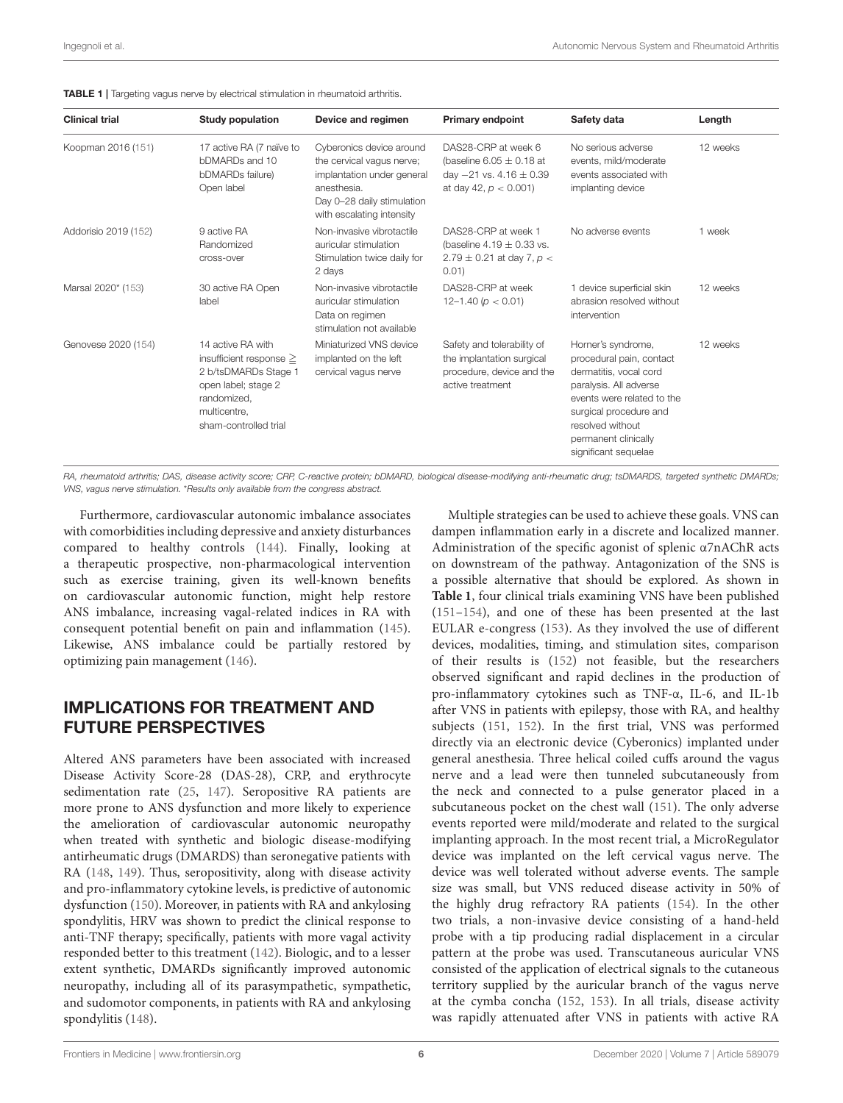<span id="page-5-0"></span>

| <b>Clinical trial</b> | <b>Study population</b>                                                                                                                                  | Device and regimen                                                                                                                                            | <b>Primary endpoint</b>                                                                                          | Safety data                                                                                                                                                                                                                    | Length   |
|-----------------------|----------------------------------------------------------------------------------------------------------------------------------------------------------|---------------------------------------------------------------------------------------------------------------------------------------------------------------|------------------------------------------------------------------------------------------------------------------|--------------------------------------------------------------------------------------------------------------------------------------------------------------------------------------------------------------------------------|----------|
| Koopman 2016 (151)    | 17 active RA (7 naïve to<br>bDMARDs and 10<br>bDMARDs failure)<br>Open label                                                                             | Cyberonics device around<br>the cervical vagus nerve;<br>implantation under general<br>anesthesia.<br>Day 0-28 daily stimulation<br>with escalating intensity | DAS28-CRP at week 6<br>(baseline 6.05 $\pm$ 0.18 at<br>day $-21$ vs. 4.16 $\pm$ 0.39<br>at day 42, $p < 0.001$ ) | No serious adverse<br>events, mild/moderate<br>events associated with<br>implanting device                                                                                                                                     | 12 weeks |
| Addorisio 2019 (152)  | 9 active RA<br>Randomized<br>cross-over                                                                                                                  | Non-invasive vibrotactile<br>auricular stimulation<br>Stimulation twice daily for<br>2 days                                                                   | DAS28-CRP at week 1<br>(baseline 4.19 $\pm$ 0.33 vs.<br>$2.79 \pm 0.21$ at day 7, p <<br>0.01)                   | No adverse events                                                                                                                                                                                                              | 1 week   |
| Marsal 2020* (153)    | 30 active RA Open<br>label                                                                                                                               | Non-invasive vibrotactile<br>auricular stimulation<br>Data on regimen<br>stimulation not available                                                            | DAS28-CRP at week<br>12-1.40 ( $p < 0.01$ )                                                                      | 1 device superficial skin<br>abrasion resolved without<br>intervention                                                                                                                                                         | 12 weeks |
| Genovese 2020 (154)   | 14 active RA with<br>insufficient response $\geq$<br>2 b/tsDMARDs Stage 1<br>open label; stage 2<br>randomized.<br>multicentre.<br>sham-controlled trial | Miniaturized VNS device<br>implanted on the left<br>cervical vagus nerve                                                                                      | Safety and tolerability of<br>the implantation surgical<br>procedure, device and the<br>active treatment         | Horner's syndrome,<br>procedural pain, contact<br>dermatitis, vocal cord<br>paralysis. All adverse<br>events were related to the<br>surgical procedure and<br>resolved without<br>permanent clinically<br>significant sequelae | 12 weeks |

RA, rheumatoid arthritis; DAS, disease activity score; CRP, C-reactive protein; bDMARD, biological disease-modifying anti-rheumatic drug; tsDMARDS, targeted synthetic DMARDs; VNS, vagus nerve stimulation. \*Results only available from the congress abstract.

Furthermore, cardiovascular autonomic imbalance associates with comorbidities including depressive and anxiety disturbances compared to healthy controls [\(144\)](#page-10-13). Finally, looking at a therapeutic prospective, non-pharmacological intervention such as exercise training, given its well-known benefits on cardiovascular autonomic function, might help restore ANS imbalance, increasing vagal-related indices in RA with consequent potential benefit on pain and inflammation [\(145\)](#page-10-14). Likewise, ANS imbalance could be partially restored by optimizing pain management [\(146\)](#page-10-15).

### IMPLICATIONS FOR TREATMENT AND FUTURE PERSPECTIVES

Altered ANS parameters have been associated with increased Disease Activity Score-28 (DAS-28), CRP, and erythrocyte sedimentation rate [\(25,](#page-7-2) [147\)](#page-10-16). Seropositive RA patients are more prone to ANS dysfunction and more likely to experience the amelioration of cardiovascular autonomic neuropathy when treated with synthetic and biologic disease-modifying antirheumatic drugs (DMARDS) than seronegative patients with RA [\(148,](#page-10-17) [149\)](#page-10-18). Thus, seropositivity, along with disease activity and pro-inflammatory cytokine levels, is predictive of autonomic dysfunction [\(150\)](#page-10-19). Moreover, in patients with RA and ankylosing spondylitis, HRV was shown to predict the clinical response to anti-TNF therapy; specifically, patients with more vagal activity responded better to this treatment [\(142\)](#page-10-7). Biologic, and to a lesser extent synthetic, DMARDs significantly improved autonomic neuropathy, including all of its parasympathetic, sympathetic, and sudomotor components, in patients with RA and ankylosing spondylitis [\(148\)](#page-10-17).

Multiple strategies can be used to achieve these goals. VNS can dampen inflammation early in a discrete and localized manner. Administration of the specific agonist of splenic α7nAChR acts on downstream of the pathway. Antagonization of the SNS is a possible alternative that should be explored. As shown in **[Table 1](#page-5-0)**, four clinical trials examining VNS have been published [\(151–](#page-10-9)[154\)](#page-10-12), and one of these has been presented at the last EULAR e-congress [\(153\)](#page-10-11). As they involved the use of different devices, modalities, timing, and stimulation sites, comparison of their results is [\(152\)](#page-10-10) not feasible, but the researchers observed significant and rapid declines in the production of pro-inflammatory cytokines such as TNF-α, IL-6, and IL-1b after VNS in patients with epilepsy, those with RA, and healthy subjects [\(151,](#page-10-9) [152\)](#page-10-10). In the first trial, VNS was performed directly via an electronic device (Cyberonics) implanted under general anesthesia. Three helical coiled cuffs around the vagus nerve and a lead were then tunneled subcutaneously from the neck and connected to a pulse generator placed in a subcutaneous pocket on the chest wall [\(151\)](#page-10-9). The only adverse events reported were mild/moderate and related to the surgical implanting approach. In the most recent trial, a MicroRegulator device was implanted on the left cervical vagus nerve. The device was well tolerated without adverse events. The sample size was small, but VNS reduced disease activity in 50% of the highly drug refractory RA patients [\(154\)](#page-10-12). In the other two trials, a non-invasive device consisting of a hand-held probe with a tip producing radial displacement in a circular pattern at the probe was used. Transcutaneous auricular VNS consisted of the application of electrical signals to the cutaneous territory supplied by the auricular branch of the vagus nerve at the cymba concha [\(152,](#page-10-10) [153\)](#page-10-11). In all trials, disease activity was rapidly attenuated after VNS in patients with active RA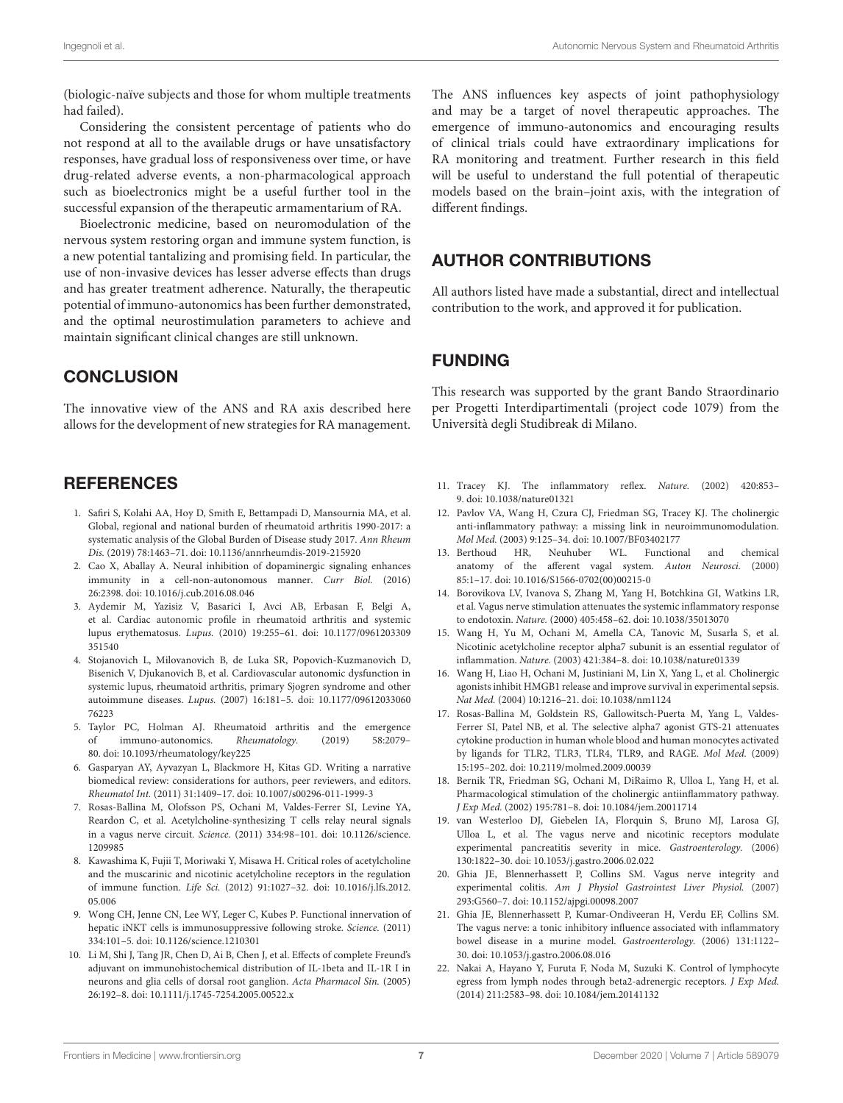(biologic-naïve subjects and those for whom multiple treatments had failed).

Considering the consistent percentage of patients who do not respond at all to the available drugs or have unsatisfactory responses, have gradual loss of responsiveness over time, or have drug-related adverse events, a non-pharmacological approach such as bioelectronics might be a useful further tool in the successful expansion of the therapeutic armamentarium of RA.

Bioelectronic medicine, based on neuromodulation of the nervous system restoring organ and immune system function, is a new potential tantalizing and promising field. In particular, the use of non-invasive devices has lesser adverse effects than drugs and has greater treatment adherence. Naturally, the therapeutic potential of immuno-autonomics has been further demonstrated, and the optimal neurostimulation parameters to achieve and maintain significant clinical changes are still unknown.

### **CONCLUSION**

The innovative view of the ANS and RA axis described here allows for the development of new strategies for RA management.

### **REFERENCES**

- <span id="page-6-0"></span>1. Safiri S, Kolahi AA, Hoy D, Smith E, Bettampadi D, Mansournia MA, et al. Global, regional and national burden of rheumatoid arthritis 1990-2017: a systematic analysis of the Global Burden of Disease study 2017. Ann Rheum Dis. (2019) 78:1463–71. doi: [10.1136/annrheumdis-2019-215920](https://doi.org/10.1136/annrheumdis-2019-215920)
- <span id="page-6-1"></span>2. Cao X, Aballay A. Neural inhibition of dopaminergic signaling enhances immunity in a cell-non-autonomous manner. Curr Biol. (2016) 26:2398. doi: [10.1016/j.cub.2016.08.046](https://doi.org/10.1016/j.cub.2016.08.046)
- 3. Aydemir M, Yazisiz V, Basarici I, Avci AB, Erbasan F, Belgi A, et al. Cardiac autonomic profile in rheumatoid arthritis and systemic lupus erythematosus. Lupus. [\(2010\) 19:255–61. doi: 10.1177/0961203309](https://doi.org/10.1177/0961203309351540) 351540
- <span id="page-6-2"></span>4. Stojanovich L, Milovanovich B, de Luka SR, Popovich-Kuzmanovich D, Bisenich V, Djukanovich B, et al. Cardiovascular autonomic dysfunction in systemic lupus, rheumatoid arthritis, primary Sjogren syndrome and other autoimmune diseases. Lupus. [\(2007\) 16:181–5. doi: 10.1177/09612033060](https://doi.org/10.1177/0961203306076223) 76223
- <span id="page-6-3"></span>5. Taylor PC, Holman AJ. Rheumatoid arthritis and the emergence of immuno-autonomics. Rheumatology. (2019) 58:2079– 80. doi: [10.1093/rheumatology/key225](https://doi.org/10.1093/rheumatology/key225)
- <span id="page-6-4"></span>6. Gasparyan AY, Ayvazyan L, Blackmore H, Kitas GD. Writing a narrative biomedical review: considerations for authors, peer reviewers, and editors. Rheumatol Int. (2011) 31:1409–17. doi: [10.1007/s00296-011-1999-3](https://doi.org/10.1007/s00296-011-1999-3)
- <span id="page-6-5"></span>7. Rosas-Ballina M, Olofsson PS, Ochani M, Valdes-Ferrer SI, Levine YA, Reardon C, et al. Acetylcholine-synthesizing T cells relay neural signals in a vagus nerve circuit. Science. [\(2011\) 334:98–101. doi: 10.1126/science.](https://doi.org/10.1126/science.1209985) 1209985
- <span id="page-6-6"></span>8. Kawashima K, Fujii T, Moriwaki Y, Misawa H. Critical roles of acetylcholine and the muscarinic and nicotinic acetylcholine receptors in the regulation of immune function. Life Sci. [\(2012\) 91:1027–32. doi: 10.1016/j.lfs.2012.](https://doi.org/10.1016/j.lfs.2012.05.006) 05.006
- <span id="page-6-7"></span>9. Wong CH, Jenne CN, Lee WY, Leger C, Kubes P. Functional innervation of hepatic iNKT cells is immunosuppressive following stroke. Science. (2011) 334:101–5. doi: [10.1126/science.1210301](https://doi.org/10.1126/science.1210301)
- <span id="page-6-8"></span>10. Li M, Shi J, Tang JR, Chen D, Ai B, Chen J, et al. Effects of complete Freund's adjuvant on immunohistochemical distribution of IL-1beta and IL-1R I in neurons and glia cells of dorsal root ganglion. Acta Pharmacol Sin. (2005) 26:192–8. doi: [10.1111/j.1745-7254.2005.00522.x](https://doi.org/10.1111/j.1745-7254.2005.00522.x)

The ANS influences key aspects of joint pathophysiology and may be a target of novel therapeutic approaches. The emergence of immuno-autonomics and encouraging results of clinical trials could have extraordinary implications for RA monitoring and treatment. Further research in this field will be useful to understand the full potential of therapeutic models based on the brain–joint axis, with the integration of different findings.

### AUTHOR CONTRIBUTIONS

All authors listed have made a substantial, direct and intellectual contribution to the work, and approved it for publication.

### FUNDING

This research was supported by the grant Bando Straordinario per Progetti Interdipartimentali (project code 1079) from the Università degli Studibreak di Milano.

- <span id="page-6-9"></span>11. Tracey KJ. The inflammatory reflex. Nature. (2002) 420:853– 9. doi: [10.1038/nature01321](https://doi.org/10.1038/nature01321)
- <span id="page-6-10"></span>12. Pavlov VA, Wang H, Czura CJ, Friedman SG, Tracey KJ. The cholinergic anti-inflammatory pathway: a missing link in neuroimmunomodulation. Mol Med. (2003) 9:125–34. doi: [10.1007/BF03402177](https://doi.org/10.1007/BF03402177)
- <span id="page-6-11"></span>13. Berthoud HR, Neuhuber WL. Functional and chemical anatomy of the afferent vagal system. Auton Neurosci. (2000) 85:1–17. doi: [10.1016/S1566-0702\(00\)00215-0](https://doi.org/10.1016/S1566-0702(00)00215-0)
- <span id="page-6-12"></span>14. Borovikova LV, Ivanova S, Zhang M, Yang H, Botchkina GI, Watkins LR, et al. Vagus nerve stimulation attenuates the systemic inflammatory response to endotoxin. Nature. (2000) 405:458–62. doi: [10.1038/35013070](https://doi.org/10.1038/35013070)
- <span id="page-6-13"></span>15. Wang H, Yu M, Ochani M, Amella CA, Tanovic M, Susarla S, et al. Nicotinic acetylcholine receptor alpha7 subunit is an essential regulator of inflammation. Nature. (2003) 421:384–8. doi: [10.1038/nature01339](https://doi.org/10.1038/nature01339)
- <span id="page-6-14"></span>16. Wang H, Liao H, Ochani M, Justiniani M, Lin X, Yang L, et al. Cholinergic agonists inhibit HMGB1 release and improve survival in experimental sepsis. Nat Med. (2004) 10:1216–21. doi: [10.1038/nm1124](https://doi.org/10.1038/nm1124)
- <span id="page-6-15"></span>17. Rosas-Ballina M, Goldstein RS, Gallowitsch-Puerta M, Yang L, Valdes-Ferrer SI, Patel NB, et al. The selective alpha7 agonist GTS-21 attenuates cytokine production in human whole blood and human monocytes activated by ligands for TLR2, TLR3, TLR4, TLR9, and RAGE. Mol Med. (2009) 15:195–202. doi: [10.2119/molmed.2009.00039](https://doi.org/10.2119/molmed.2009.00039)
- <span id="page-6-16"></span>18. Bernik TR, Friedman SG, Ochani M, DiRaimo R, Ulloa L, Yang H, et al. Pharmacological stimulation of the cholinergic antiinflammatory pathway. J Exp Med. (2002) 195:781–8. doi: [10.1084/jem.20011714](https://doi.org/10.1084/jem.20011714)
- <span id="page-6-17"></span>19. van Westerloo DJ, Giebelen IA, Florquin S, Bruno MJ, Larosa GJ, Ulloa L, et al. The vagus nerve and nicotinic receptors modulate experimental pancreatitis severity in mice. Gastroenterology. (2006) 130:1822–30. doi: [10.1053/j.gastro.2006.02.022](https://doi.org/10.1053/j.gastro.2006.02.022)
- <span id="page-6-18"></span>20. Ghia JE, Blennerhassett P, Collins SM. Vagus nerve integrity and experimental colitis. Am J Physiol Gastrointest Liver Physiol. (2007) 293:G560–7. doi: [10.1152/ajpgi.00098.2007](https://doi.org/10.1152/ajpgi.00098.2007)
- <span id="page-6-19"></span>21. Ghia JE, Blennerhassett P, Kumar-Ondiveeran H, Verdu EF, Collins SM. The vagus nerve: a tonic inhibitory influence associated with inflammatory bowel disease in a murine model. Gastroenterology. (2006) 131:1122– 30. doi: [10.1053/j.gastro.2006.08.016](https://doi.org/10.1053/j.gastro.2006.08.016)
- <span id="page-6-20"></span>22. Nakai A, Hayano Y, Furuta F, Noda M, Suzuki K. Control of lymphocyte egress from lymph nodes through beta2-adrenergic receptors. J Exp Med. (2014) 211:2583–98. doi: [10.1084/jem.20141132](https://doi.org/10.1084/jem.20141132)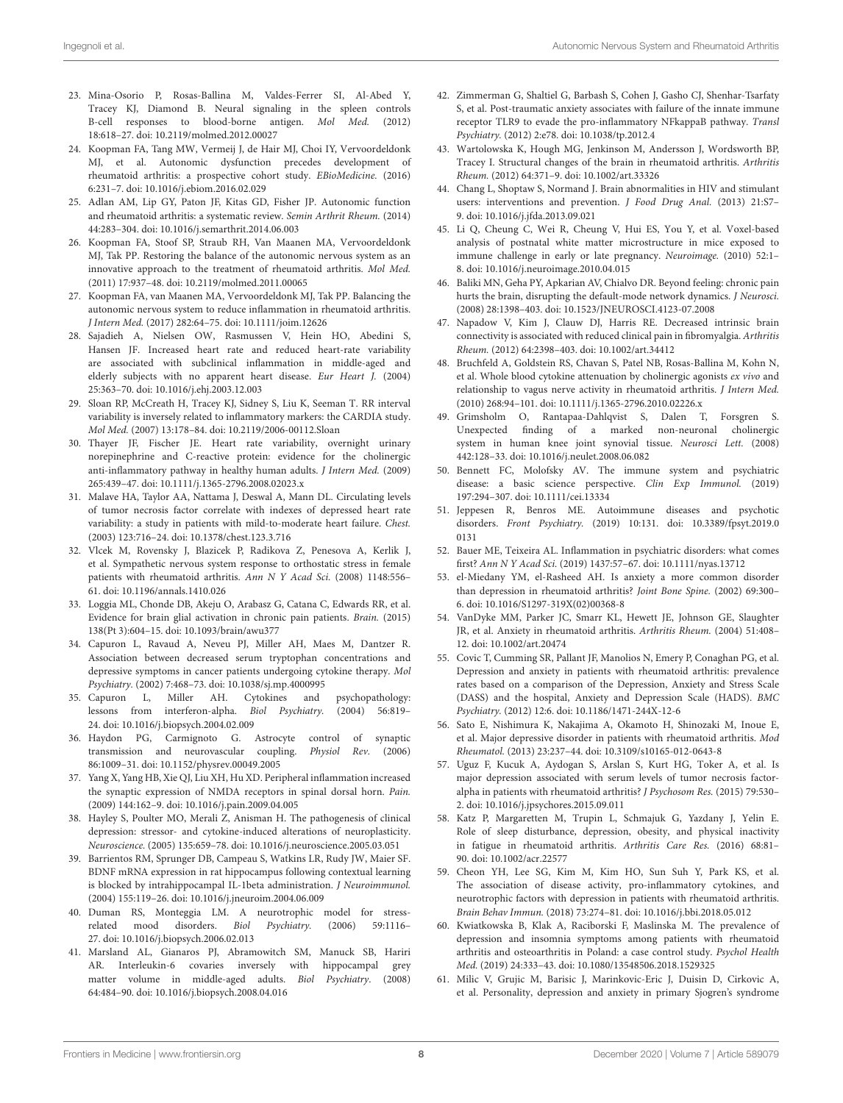- <span id="page-7-0"></span>23. Mina-Osorio P, Rosas-Ballina M, Valdes-Ferrer SI, Al-Abed Y, Tracey KJ, Diamond B. Neural signaling in the spleen controls B-cell responses to blood-borne antigen. Mol Med. (2012) 18:618–27. doi: [10.2119/molmed.2012.00027](https://doi.org/10.2119/molmed.2012.00027)
- <span id="page-7-1"></span>24. Koopman FA, Tang MW, Vermeij J, de Hair MJ, Choi IY, Vervoordeldonk MJ, et al. Autonomic dysfunction precedes development of rheumatoid arthritis: a prospective cohort study. EBioMedicine. (2016) 6:231–7. doi: [10.1016/j.ebiom.2016.02.029](https://doi.org/10.1016/j.ebiom.2016.02.029)
- <span id="page-7-2"></span>25. Adlan AM, Lip GY, Paton JF, Kitas GD, Fisher JP. Autonomic function and rheumatoid arthritis: a systematic review. Semin Arthrit Rheum. (2014) 44:283–304. doi: [10.1016/j.semarthrit.2014.06.003](https://doi.org/10.1016/j.semarthrit.2014.06.003)
- <span id="page-7-3"></span>26. Koopman FA, Stoof SP, Straub RH, Van Maanen MA, Vervoordeldonk MJ, Tak PP. Restoring the balance of the autonomic nervous system as an innovative approach to the treatment of rheumatoid arthritis. Mol Med. (2011) 17:937–48. doi: [10.2119/molmed.2011.00065](https://doi.org/10.2119/molmed.2011.00065)
- <span id="page-7-4"></span>27. Koopman FA, van Maanen MA, Vervoordeldonk MJ, Tak PP. Balancing the autonomic nervous system to reduce inflammation in rheumatoid arthritis. J Intern Med. (2017) 282:64–75. doi: [10.1111/joim.12626](https://doi.org/10.1111/joim.12626)
- <span id="page-7-5"></span>28. Sajadieh A, Nielsen OW, Rasmussen V, Hein HO, Abedini S, Hansen JF. Increased heart rate and reduced heart-rate variability are associated with subclinical inflammation in middle-aged and elderly subjects with no apparent heart disease. Eur Heart J. (2004) 25:363–70. doi: [10.1016/j.ehj.2003.12.003](https://doi.org/10.1016/j.ehj.2003.12.003)
- <span id="page-7-7"></span>29. Sloan RP, McCreath H, Tracey KJ, Sidney S, Liu K, Seeman T. RR interval variability is inversely related to inflammatory markers: the CARDIA study. Mol Med. (2007) 13:178–84. doi: [10.2119/2006-00112.Sloan](https://doi.org/10.2119/2006-00112.Sloan)
- <span id="page-7-6"></span>30. Thayer JF, Fischer JE. Heart rate variability, overnight urinary norepinephrine and C-reactive protein: evidence for the cholinergic anti-inflammatory pathway in healthy human adults. J Intern Med. (2009) 265:439–47. doi: [10.1111/j.1365-2796.2008.02023.x](https://doi.org/10.1111/j.1365-2796.2008.02023.x)
- <span id="page-7-8"></span>31. Malave HA, Taylor AA, Nattama J, Deswal A, Mann DL. Circulating levels of tumor necrosis factor correlate with indexes of depressed heart rate variability: a study in patients with mild-to-moderate heart failure. Chest. (2003) 123:716–24. doi: [10.1378/chest.123.3.716](https://doi.org/10.1378/chest.123.3.716)
- <span id="page-7-9"></span>32. Vlcek M, Rovensky J, Blazicek P, Radikova Z, Penesova A, Kerlik J, et al. Sympathetic nervous system response to orthostatic stress in female patients with rheumatoid arthritis. Ann N Y Acad Sci. (2008) 1148:556– 61. doi: [10.1196/annals.1410.026](https://doi.org/10.1196/annals.1410.026)
- <span id="page-7-10"></span>33. Loggia ML, Chonde DB, Akeju O, Arabasz G, Catana C, Edwards RR, et al. Evidence for brain glial activation in chronic pain patients. Brain. (2015) 138(Pt 3):604–15. doi: [10.1093/brain/awu377](https://doi.org/10.1093/brain/awu377)
- <span id="page-7-11"></span>34. Capuron L, Ravaud A, Neveu PJ, Miller AH, Maes M, Dantzer R. Association between decreased serum tryptophan concentrations and depressive symptoms in cancer patients undergoing cytokine therapy. Mol Psychiatry. (2002) 7:468–73. doi: [10.1038/sj.mp.4000995](https://doi.org/10.1038/sj.mp.4000995)
- <span id="page-7-12"></span>35. Capuron L, Miller AH. Cytokines and psychopathology: lessons from interferon-alpha. Biol Psychiatry. (2004) 56:819– 24. doi: [10.1016/j.biopsych.2004.02.009](https://doi.org/10.1016/j.biopsych.2004.02.009)
- <span id="page-7-13"></span>36. Haydon PG, Carmignoto G. Astrocyte control of synaptic transmission and neurovascular coupling. Physiol Rev. (2006) 86:1009–31. doi: [10.1152/physrev.00049.2005](https://doi.org/10.1152/physrev.00049.2005)
- <span id="page-7-14"></span>37. Yang X, Yang HB, Xie QJ, Liu XH, Hu XD. Peripheral inflammation increased the synaptic expression of NMDA receptors in spinal dorsal horn. Pain. (2009) 144:162–9. doi: [10.1016/j.pain.2009.04.005](https://doi.org/10.1016/j.pain.2009.04.005)
- <span id="page-7-15"></span>38. Hayley S, Poulter MO, Merali Z, Anisman H. The pathogenesis of clinical depression: stressor- and cytokine-induced alterations of neuroplasticity. Neuroscience. (2005) 135:659–78. doi: [10.1016/j.neuroscience.2005.03.051](https://doi.org/10.1016/j.neuroscience.2005.03.051)
- 39. Barrientos RM, Sprunger DB, Campeau S, Watkins LR, Rudy JW, Maier SF. BDNF mRNA expression in rat hippocampus following contextual learning is blocked by intrahippocampal IL-1beta administration. J Neuroimmunol. (2004) 155:119–26. doi: [10.1016/j.jneuroim.2004.06.009](https://doi.org/10.1016/j.jneuroim.2004.06.009)
- <span id="page-7-16"></span>40. Duman RS, Monteggia LM. A neurotrophic model for stressrelated mood disorders. Biol Psychiatry. (2006) 59:1116– 27. doi: [10.1016/j.biopsych.2006.02.013](https://doi.org/10.1016/j.biopsych.2006.02.013)
- <span id="page-7-17"></span>41. Marsland AL, Gianaros PJ, Abramowitch SM, Manuck SB, Hariri AR. Interleukin-6 covaries inversely with hippocampal grey matter volume in middle-aged adults. Biol Psychiatry. (2008) 64:484–90. doi: [10.1016/j.biopsych.2008.04.016](https://doi.org/10.1016/j.biopsych.2008.04.016)
- <span id="page-7-18"></span>42. Zimmerman G, Shaltiel G, Barbash S, Cohen J, Gasho CJ, Shenhar-Tsarfaty S, et al. Post-traumatic anxiety associates with failure of the innate immune receptor TLR9 to evade the pro-inflammatory NFkappaB pathway. Transl Psychiatry. (2012) 2:e78. doi: [10.1038/tp.2012.4](https://doi.org/10.1038/tp.2012.4)
- <span id="page-7-19"></span>43. Wartolowska K, Hough MG, Jenkinson M, Andersson J, Wordsworth BP, Tracey I. Structural changes of the brain in rheumatoid arthritis. Arthritis Rheum. (2012) 64:371–9. doi: [10.1002/art.33326](https://doi.org/10.1002/art.33326)
- 44. Chang L, Shoptaw S, Normand J. Brain abnormalities in HIV and stimulant users: interventions and prevention. *J Food Drug Anal.* (2013) 21:S7-9. doi: [10.1016/j.jfda.2013.09.021](https://doi.org/10.1016/j.jfda.2013.09.021)
- <span id="page-7-20"></span>45. Li Q, Cheung C, Wei R, Cheung V, Hui ES, You Y, et al. Voxel-based analysis of postnatal white matter microstructure in mice exposed to immune challenge in early or late pregnancy. Neuroimage. (2010) 52:1– 8. doi: [10.1016/j.neuroimage.2010.04.015](https://doi.org/10.1016/j.neuroimage.2010.04.015)
- <span id="page-7-21"></span>46. Baliki MN, Geha PY, Apkarian AV, Chialvo DR. Beyond feeling: chronic pain hurts the brain, disrupting the default-mode network dynamics. J Neurosci. (2008) 28:1398–403. doi: [10.1523/JNEUROSCI.4123-07.2008](https://doi.org/10.1523/JNEUROSCI.4123-07.2008)
- <span id="page-7-22"></span>47. Napadow V, Kim J, Clauw DJ, Harris RE. Decreased intrinsic brain connectivity is associated with reduced clinical pain in fibromyalgia. Arthritis Rheum. (2012) 64:2398–403. doi: [10.1002/art.34412](https://doi.org/10.1002/art.34412)
- <span id="page-7-23"></span>48. Bruchfeld A, Goldstein RS, Chavan S, Patel NB, Rosas-Ballina M, Kohn N, et al. Whole blood cytokine attenuation by cholinergic agonists ex vivo and relationship to vagus nerve activity in rheumatoid arthritis. J Intern Med. (2010) 268:94–101. doi: [10.1111/j.1365-2796.2010.02226.x](https://doi.org/10.1111/j.1365-2796.2010.02226.x)
- <span id="page-7-24"></span>49. Grimsholm O, Rantapaa-Dahlqvist S, Dalen T, Forsgren S. Unexpected finding of a marked non-neuronal cholinergic system in human knee joint synovial tissue. Neurosci Lett. (2008) 442:128–33. doi: [10.1016/j.neulet.2008.06.082](https://doi.org/10.1016/j.neulet.2008.06.082)
- <span id="page-7-25"></span>50. Bennett FC, Molofsky AV. The immune system and psychiatric disease: a basic science perspective. Clin Exp Immunol. (2019) 197:294–307. doi: [10.1111/cei.13334](https://doi.org/10.1111/cei.13334)
- <span id="page-7-26"></span>51. Jeppesen R, Benros ME. Autoimmune diseases and psychotic disorders. Front Psychiatry. [\(2019\) 10:131. doi: 10.3389/fpsyt.2019.0](https://doi.org/10.3389/fpsyt.2019.00131) 0131
- <span id="page-7-27"></span>52. Bauer ME, Teixeira AL. Inflammation in psychiatric disorders: what comes first? Ann N Y Acad Sci. (2019) 1437:57–67. doi: [10.1111/nyas.13712](https://doi.org/10.1111/nyas.13712)
- <span id="page-7-28"></span>53. el-Miedany YM, el-Rasheed AH. Is anxiety a more common disorder than depression in rheumatoid arthritis? Joint Bone Spine. (2002) 69:300– 6. doi: [10.1016/S1297-319X\(02\)00368-8](https://doi.org/10.1016/S1297-319X(02)00368-8)
- <span id="page-7-33"></span>54. VanDyke MM, Parker JC, Smarr KL, Hewett JE, Johnson GE, Slaughter JR, et al. Anxiety in rheumatoid arthritis. Arthritis Rheum. (2004) 51:408– 12. doi: [10.1002/art.20474](https://doi.org/10.1002/art.20474)
- <span id="page-7-32"></span>55. Covic T, Cumming SR, Pallant JF, Manolios N, Emery P, Conaghan PG, et al. Depression and anxiety in patients with rheumatoid arthritis: prevalence rates based on a comparison of the Depression, Anxiety and Stress Scale (DASS) and the hospital, Anxiety and Depression Scale (HADS). BMC Psychiatry. (2012) 12:6. doi: [10.1186/1471-244X-12-6](https://doi.org/10.1186/1471-244X-12-6)
- <span id="page-7-31"></span>56. Sato E, Nishimura K, Nakajima A, Okamoto H, Shinozaki M, Inoue E, et al. Major depressive disorder in patients with rheumatoid arthritis. Mod Rheumatol. (2013) 23:237–44. doi: [10.3109/s10165-012-0643-8](https://doi.org/10.3109/s10165-012-0643-8)
- <span id="page-7-30"></span>57. Uguz F, Kucuk A, Aydogan S, Arslan S, Kurt HG, Toker A, et al. Is major depression associated with serum levels of tumor necrosis factoralpha in patients with rheumatoid arthritis? J Psychosom Res. (2015) 79:530– 2. doi: [10.1016/j.jpsychores.2015.09.011](https://doi.org/10.1016/j.jpsychores.2015.09.011)
- 58. Katz P, Margaretten M, Trupin L, Schmajuk G, Yazdany J, Yelin E. Role of sleep disturbance, depression, obesity, and physical inactivity in fatigue in rheumatoid arthritis. Arthritis Care Res. (2016) 68:81– 90. doi: [10.1002/acr.22577](https://doi.org/10.1002/acr.22577)
- <span id="page-7-29"></span>59. Cheon YH, Lee SG, Kim M, Kim HO, Sun Suh Y, Park KS, et al. The association of disease activity, pro-inflammatory cytokines, and neurotrophic factors with depression in patients with rheumatoid arthritis. Brain Behav Immun. (2018) 73:274–81. doi: [10.1016/j.bbi.2018.05.012](https://doi.org/10.1016/j.bbi.2018.05.012)
- 60. Kwiatkowska B, Klak A, Raciborski F, Maslinska M. The prevalence of depression and insomnia symptoms among patients with rheumatoid arthritis and osteoarthritis in Poland: a case control study. Psychol Health Med. (2019) 24:333–43. doi: [10.1080/13548506.2018.1529325](https://doi.org/10.1080/13548506.2018.1529325)
- 61. Milic V, Grujic M, Barisic J, Marinkovic-Eric J, Duisin D, Cirkovic A, et al. Personality, depression and anxiety in primary Sjogren's syndrome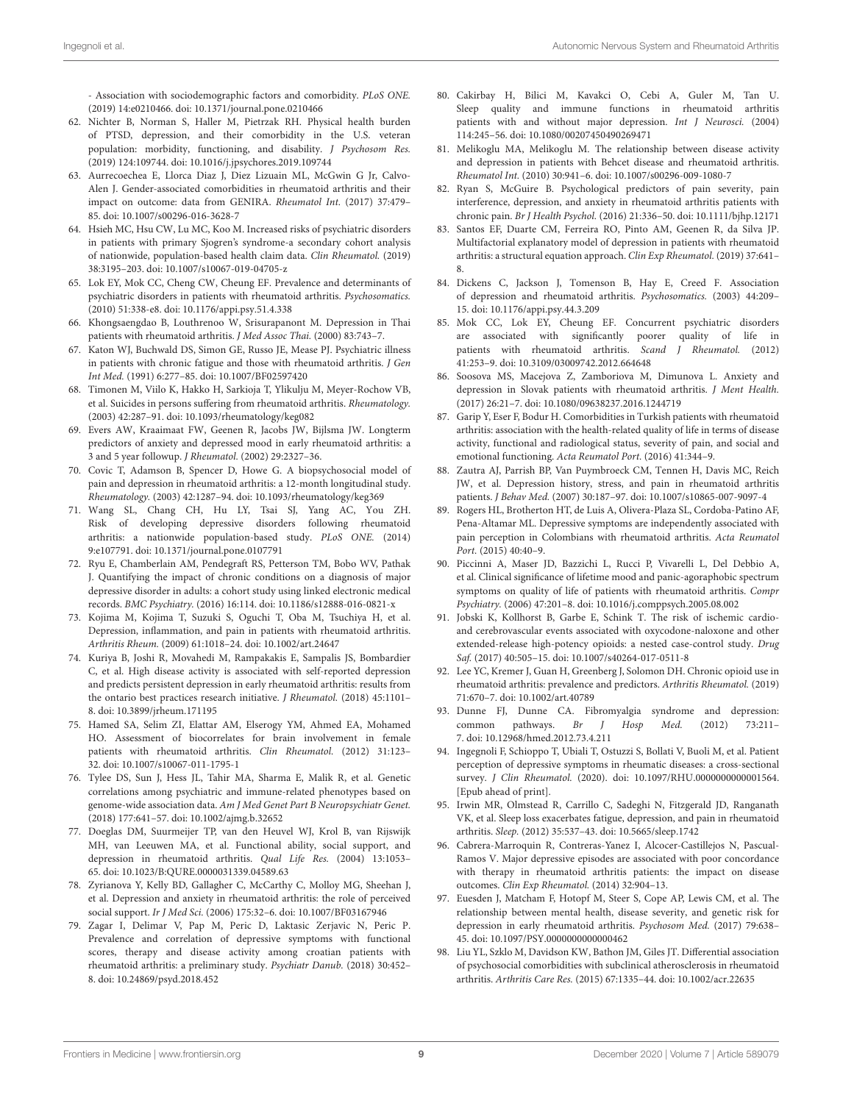- Association with sociodemographic factors and comorbidity. PLoS ONE. (2019) 14:e0210466. doi: [10.1371/journal.pone.0210466](https://doi.org/10.1371/journal.pone.0210466)

- <span id="page-8-0"></span>62. Nichter B, Norman S, Haller M, Pietrzak RH. Physical health burden of PTSD, depression, and their comorbidity in the U.S. veteran population: morbidity, functioning, and disability. J Psychosom Res. (2019) 124:109744. doi: [10.1016/j.jpsychores.2019.109744](https://doi.org/10.1016/j.jpsychores.2019.109744)
- <span id="page-8-1"></span>63. Aurrecoechea E, Llorca Diaz J, Diez Lizuain ML, McGwin G Jr, Calvo-Alen J. Gender-associated comorbidities in rheumatoid arthritis and their impact on outcome: data from GENIRA. Rheumatol Int. (2017) 37:479– 85. doi: [10.1007/s00296-016-3628-7](https://doi.org/10.1007/s00296-016-3628-7)
- <span id="page-8-2"></span>64. Hsieh MC, Hsu CW, Lu MC, Koo M. Increased risks of psychiatric disorders in patients with primary Sjogren's syndrome-a secondary cohort analysis of nationwide, population-based health claim data. Clin Rheumatol. (2019) 38:3195–203. doi: [10.1007/s10067-019-04705-z](https://doi.org/10.1007/s10067-019-04705-z)
- <span id="page-8-3"></span>65. Lok EY, Mok CC, Cheng CW, Cheung EF. Prevalence and determinants of psychiatric disorders in patients with rheumatoid arthritis. Psychosomatics. (2010) 51:338-e8. doi: [10.1176/appi.psy.51.4.338](https://doi.org/10.1176/appi.psy.51.4.338)
- <span id="page-8-4"></span>66. Khongsaengdao B, Louthrenoo W, Srisurapanont M. Depression in Thai patients with rheumatoid arthritis. J Med Assoc Thai. (2000) 83:743–7.
- <span id="page-8-5"></span>67. Katon WJ, Buchwald DS, Simon GE, Russo JE, Mease PJ. Psychiatric illness in patients with chronic fatigue and those with rheumatoid arthritis. J Gen Int Med. (1991) 6:277–85. doi: [10.1007/BF02597420](https://doi.org/10.1007/BF02597420)
- <span id="page-8-6"></span>68. Timonen M, Viilo K, Hakko H, Sarkioja T, Ylikulju M, Meyer-Rochow VB, et al. Suicides in persons suffering from rheumatoid arthritis. Rheumatology. (2003) 42:287–91. doi: [10.1093/rheumatology/keg082](https://doi.org/10.1093/rheumatology/keg082)
- <span id="page-8-7"></span>69. Evers AW, Kraaimaat FW, Geenen R, Jacobs JW, Bijlsma JW. Longterm predictors of anxiety and depressed mood in early rheumatoid arthritis: a 3 and 5 year followup. J Rheumatol. (2002) 29:2327–36.
- 70. Covic T, Adamson B, Spencer D, Howe G. A biopsychosocial model of pain and depression in rheumatoid arthritis: a 12-month longitudinal study. Rheumatology. (2003) 42:1287–94. doi: [10.1093/rheumatology/keg369](https://doi.org/10.1093/rheumatology/keg369)
- 71. Wang SL, Chang CH, Hu LY, Tsai SJ, Yang AC, You ZH. Risk of developing depressive disorders following rheumatoid arthritis: a nationwide population-based study. PLoS ONE. (2014) 9:e107791. doi: [10.1371/journal.pone.0107791](https://doi.org/10.1371/journal.pone.0107791)
- <span id="page-8-8"></span>72. Ryu E, Chamberlain AM, Pendegraft RS, Petterson TM, Bobo WV, Pathak J. Quantifying the impact of chronic conditions on a diagnosis of major depressive disorder in adults: a cohort study using linked electronic medical records. BMC Psychiatry. (2016) 16:114. doi: [10.1186/s12888-016-0821-x](https://doi.org/10.1186/s12888-016-0821-x)
- <span id="page-8-9"></span>73. Kojima M, Kojima T, Suzuki S, Oguchi T, Oba M, Tsuchiya H, et al. Depression, inflammation, and pain in patients with rheumatoid arthritis. Arthritis Rheum. (2009) 61:1018–24. doi: [10.1002/art.24647](https://doi.org/10.1002/art.24647)
- <span id="page-8-10"></span>74. Kuriya B, Joshi R, Movahedi M, Rampakakis E, Sampalis JS, Bombardier C, et al. High disease activity is associated with self-reported depression and predicts persistent depression in early rheumatoid arthritis: results from the ontario best practices research initiative. *J Rheumatol*. (2018) 45:1101-8. doi: [10.3899/jrheum.171195](https://doi.org/10.3899/jrheum.171195)
- <span id="page-8-11"></span>75. Hamed SA, Selim ZI, Elattar AM, Elserogy YM, Ahmed EA, Mohamed HO. Assessment of biocorrelates for brain involvement in female patients with rheumatoid arthritis. Clin Rheumatol. (2012) 31:123– 32. doi: [10.1007/s10067-011-1795-1](https://doi.org/10.1007/s10067-011-1795-1)
- <span id="page-8-12"></span>76. Tylee DS, Sun J, Hess JL, Tahir MA, Sharma E, Malik R, et al. Genetic correlations among psychiatric and immune-related phenotypes based on genome-wide association data. Am J Med Genet Part B Neuropsychiatr Genet. (2018) 177:641–57. doi: [10.1002/ajmg.b.32652](https://doi.org/10.1002/ajmg.b.32652)
- <span id="page-8-13"></span>77. Doeglas DM, Suurmeijer TP, van den Heuvel WJ, Krol B, van Rijswijk MH, van Leeuwen MA, et al. Functional ability, social support, and depression in rheumatoid arthritis. Qual Life Res. (2004) 13:1053– 65. doi: [10.1023/B:QURE.0000031339.04589.63](https://doi.org/10.1023/B:QURE.0000031339.04589.63)
- <span id="page-8-15"></span>78. Zyrianova Y, Kelly BD, Gallagher C, McCarthy C, Molloy MG, Sheehan J, et al. Depression and anxiety in rheumatoid arthritis: the role of perceived social support. Ir J Med Sci. (2006) 175:32–6. doi: [10.1007/BF03167946](https://doi.org/10.1007/BF03167946)
- <span id="page-8-14"></span>79. Zagar I, Delimar V, Pap M, Peric D, Laktasic Zerjavic N, Peric P. Prevalence and correlation of depressive symptoms with functional scores, therapy and disease activity among croatian patients with rheumatoid arthritis: a preliminary study. Psychiatr Danub. (2018) 30:452– 8. doi: [10.24869/psyd.2018.452](https://doi.org/10.24869/psyd.2018.452)
- <span id="page-8-16"></span>80. Cakirbay H, Bilici M, Kavakci O, Cebi A, Guler M, Tan U. Sleep quality and immune functions in rheumatoid arthritis patients with and without major depression. Int J Neurosci. (2004) 114:245–56. doi: [10.1080/00207450490269471](https://doi.org/10.1080/00207450490269471)
- <span id="page-8-18"></span>81. Melikoglu MA, Melikoglu M. The relationship between disease activity and depression in patients with Behcet disease and rheumatoid arthritis. Rheumatol Int. (2010) 30:941–6. doi: [10.1007/s00296-009-1080-7](https://doi.org/10.1007/s00296-009-1080-7)
- <span id="page-8-17"></span>82. Ryan S, McGuire B. Psychological predictors of pain severity, pain interference, depression, and anxiety in rheumatoid arthritis patients with chronic pain. Br J Health Psychol. (2016) 21:336–50. doi: [10.1111/bjhp.12171](https://doi.org/10.1111/bjhp.12171)
- <span id="page-8-19"></span>83. Santos EF, Duarte CM, Ferreira RO, Pinto AM, Geenen R, da Silva JP. Multifactorial explanatory model of depression in patients with rheumatoid arthritis: a structural equation approach. Clin Exp Rheumatol. (2019) 37:641– 8.
- <span id="page-8-20"></span>84. Dickens C, Jackson J, Tomenson B, Hay E, Creed F. Association of depression and rheumatoid arthritis. Psychosomatics. (2003) 44:209– 15. doi: [10.1176/appi.psy.44.3.209](https://doi.org/10.1176/appi.psy.44.3.209)
- <span id="page-8-21"></span>85. Mok CC, Lok EY, Cheung EF. Concurrent psychiatric disorders are associated with significantly poorer quality of life in patients with rheumatoid arthritis. Scand J Rheumatol. (2012) 41:253–9. doi: [10.3109/03009742.2012.664648](https://doi.org/10.3109/03009742.2012.664648)
- <span id="page-8-22"></span>86. Soosova MS, Macejova Z, Zamboriova M, Dimunova L. Anxiety and depression in Slovak patients with rheumatoid arthritis. J Ment Health. (2017) 26:21–7. doi: [10.1080/09638237.2016.1244719](https://doi.org/10.1080/09638237.2016.1244719)
- <span id="page-8-23"></span>87. Garip Y, Eser F, Bodur H. Comorbidities in Turkish patients with rheumatoid arthritis: association with the health-related quality of life in terms of disease activity, functional and radiological status, severity of pain, and social and emotional functioning. Acta Reumatol Port. (2016) 41:344–9.
- 88. Zautra AJ, Parrish BP, Van Puymbroeck CM, Tennen H, Davis MC, Reich JW, et al. Depression history, stress, and pain in rheumatoid arthritis patients. J Behav Med. (2007) 30:187–97. doi: [10.1007/s10865-007-9097-4](https://doi.org/10.1007/s10865-007-9097-4)
- <span id="page-8-33"></span>89. Rogers HL, Brotherton HT, de Luis A, Olivera-Plaza SL, Cordoba-Patino AF, Pena-Altamar ML. Depressive symptoms are independently associated with pain perception in Colombians with rheumatoid arthritis. Acta Reumatol Port. (2015) 40:40–9.
- <span id="page-8-24"></span>90. Piccinni A, Maser JD, Bazzichi L, Rucci P, Vivarelli L, Del Debbio A, et al. Clinical significance of lifetime mood and panic-agoraphobic spectrum symptoms on quality of life of patients with rheumatoid arthritis. Compr Psychiatry. (2006) 47:201–8. doi: [10.1016/j.comppsych.2005.08.002](https://doi.org/10.1016/j.comppsych.2005.08.002)
- <span id="page-8-25"></span>91. Jobski K, Kollhorst B, Garbe E, Schink T. The risk of ischemic cardioand cerebrovascular events associated with oxycodone-naloxone and other extended-release high-potency opioids: a nested case-control study. Drug Saf. (2017) 40:505–15. doi: [10.1007/s40264-017-0511-8](https://doi.org/10.1007/s40264-017-0511-8)
- <span id="page-8-26"></span>92. Lee YC, Kremer J, Guan H, Greenberg J, Solomon DH. Chronic opioid use in rheumatoid arthritis: prevalence and predictors. Arthritis Rheumatol. (2019) 71:670–7. doi: [10.1002/art.40789](https://doi.org/10.1002/art.40789)
- <span id="page-8-27"></span>93. Dunne FJ, Dunne CA. Fibromyalgia syndrome and depression: common pathways. Br J Hosp Med. (2012) 73:211– 7. doi: [10.12968/hmed.2012.73.4.211](https://doi.org/10.12968/hmed.2012.73.4.211)
- <span id="page-8-28"></span>94. Ingegnoli F, Schioppo T, Ubiali T, Ostuzzi S, Bollati V, Buoli M, et al. Patient perception of depressive symptoms in rheumatic diseases: a cross-sectional survey. J Clin Rheumatol. (2020). doi: [10.1097/RHU.0000000000001564.](https://doi.org/10.1097/RHU.0000000000001564) [Epub ahead of print].
- <span id="page-8-29"></span>95. Irwin MR, Olmstead R, Carrillo C, Sadeghi N, Fitzgerald JD, Ranganath VK, et al. Sleep loss exacerbates fatigue, depression, and pain in rheumatoid arthritis. Sleep. (2012) 35:537–43. doi: [10.5665/sleep.1742](https://doi.org/10.5665/sleep.1742)
- <span id="page-8-32"></span>96. Cabrera-Marroquin R, Contreras-Yanez I, Alcocer-Castillejos N, Pascual-Ramos V. Major depressive episodes are associated with poor concordance with therapy in rheumatoid arthritis patients: the impact on disease outcomes. Clin Exp Rheumatol. (2014) 32:904–13.
- <span id="page-8-30"></span>97. Euesden J, Matcham F, Hotopf M, Steer S, Cope AP, Lewis CM, et al. The relationship between mental health, disease severity, and genetic risk for depression in early rheumatoid arthritis. Psychosom Med. (2017) 79:638– 45. doi: [10.1097/PSY.0000000000000462](https://doi.org/10.1097/PSY.0000000000000462)
- <span id="page-8-31"></span>98. Liu YL, Szklo M, Davidson KW, Bathon JM, Giles JT. Differential association of psychosocial comorbidities with subclinical atherosclerosis in rheumatoid arthritis. Arthritis Care Res. (2015) 67:1335–44. doi: [10.1002/acr.22635](https://doi.org/10.1002/acr.22635)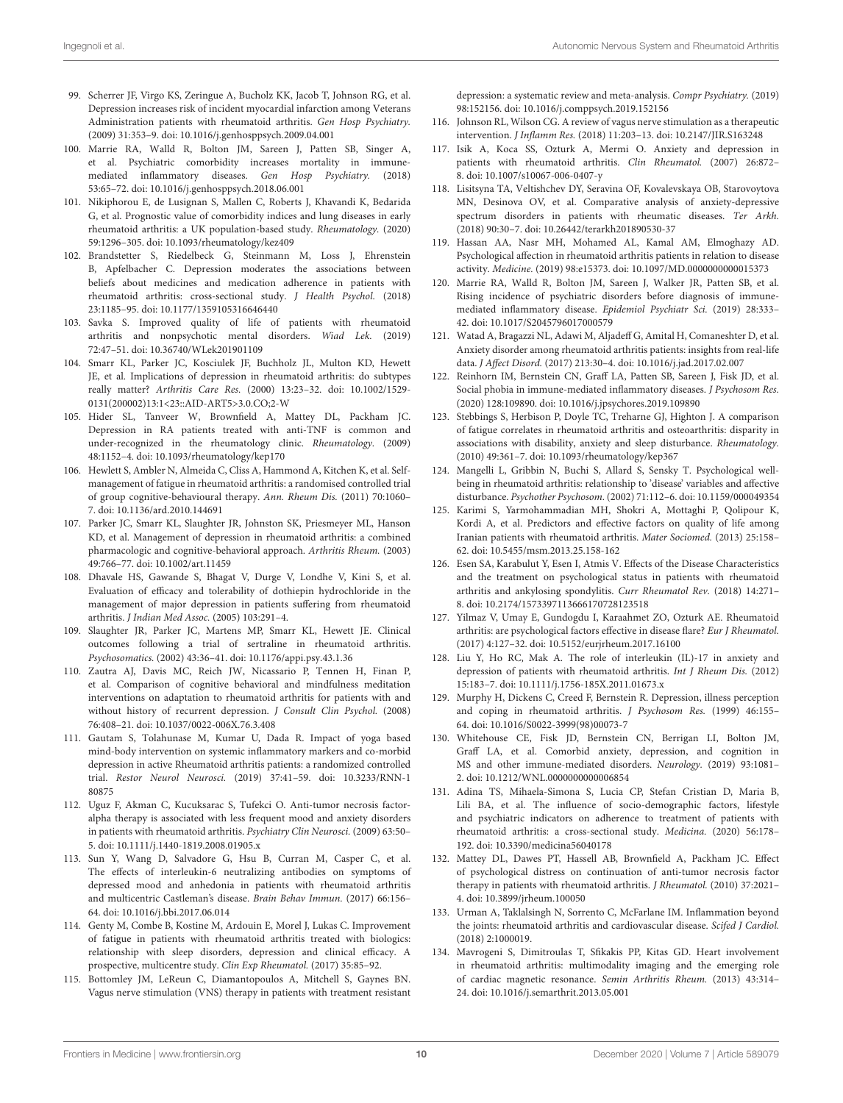- <span id="page-9-0"></span>99. Scherrer JF, Virgo KS, Zeringue A, Bucholz KK, Jacob T, Johnson RG, et al. Depression increases risk of incident myocardial infarction among Veterans Administration patients with rheumatoid arthritis. Gen Hosp Psychiatry. (2009) 31:353–9. doi: [10.1016/j.genhosppsych.2009.04.001](https://doi.org/10.1016/j.genhosppsych.2009.04.001)
- <span id="page-9-1"></span>100. Marrie RA, Walld R, Bolton JM, Sareen J, Patten SB, Singer A, et al. Psychiatric comorbidity increases mortality in immunemediated inflammatory diseases. Gen Hosp Psychiatry. (2018) 53:65–72. doi: [10.1016/j.genhosppsych.2018.06.001](https://doi.org/10.1016/j.genhosppsych.2018.06.001)
- <span id="page-9-2"></span>101. Nikiphorou E, de Lusignan S, Mallen C, Roberts J, Khavandi K, Bedarida G, et al. Prognostic value of comorbidity indices and lung diseases in early rheumatoid arthritis: a UK population-based study. Rheumatology. (2020) 59:1296–305. doi: [10.1093/rheumatology/kez409](https://doi.org/10.1093/rheumatology/kez409)
- <span id="page-9-3"></span>102. Brandstetter S, Riedelbeck G, Steinmann M, Loss J, Ehrenstein B, Apfelbacher C. Depression moderates the associations between beliefs about medicines and medication adherence in patients with rheumatoid arthritis: cross-sectional study. J Health Psychol. (2018) 23:1185–95. doi: [10.1177/1359105316646440](https://doi.org/10.1177/1359105316646440)
- <span id="page-9-4"></span>103. Savka S. Improved quality of life of patients with rheumatoid arthritis and nonpsychotic mental disorders. Wiad Lek. (2019) 72:47–51. doi: [10.36740/WLek201901109](https://doi.org/10.36740/WLek201901109)
- <span id="page-9-5"></span>104. Smarr KL, Parker JC, Kosciulek JF, Buchholz JL, Multon KD, Hewett JE, et al. Implications of depression in rheumatoid arthritis: do subtypes really matter? Arthritis Care Res. (2000) 13:23–32. doi: 10.1002/1529- [0131\(200002\)13:1<23::AID-ART5>3.0.CO;2-W](https://doi.org/10.1002/1529-0131(200002)13:1<23::AID-ART5>3.0.CO;2-W)
- <span id="page-9-6"></span>105. Hider SL, Tanveer W, Brownfield A, Mattey DL, Packham JC. Depression in RA patients treated with anti-TNF is common and under-recognized in the rheumatology clinic. Rheumatology. (2009) 48:1152–4. doi: [10.1093/rheumatology/kep170](https://doi.org/10.1093/rheumatology/kep170)
- <span id="page-9-7"></span>106. Hewlett S, Ambler N, Almeida C, Cliss A, Hammond A, Kitchen K, et al. Selfmanagement of fatigue in rheumatoid arthritis: a randomised controlled trial of group cognitive-behavioural therapy. Ann. Rheum Dis. (2011) 70:1060– 7. doi: [10.1136/ard.2010.144691](https://doi.org/10.1136/ard.2010.144691)
- <span id="page-9-8"></span>107. Parker JC, Smarr KL, Slaughter JR, Johnston SK, Priesmeyer ML, Hanson KD, et al. Management of depression in rheumatoid arthritis: a combined pharmacologic and cognitive-behavioral approach. Arthritis Rheum. (2003) 49:766–77. doi: [10.1002/art.11459](https://doi.org/10.1002/art.11459)
- <span id="page-9-9"></span>108. Dhavale HS, Gawande S, Bhagat V, Durge V, Londhe V, Kini S, et al. Evaluation of efficacy and tolerability of dothiepin hydrochloride in the management of major depression in patients suffering from rheumatoid arthritis. J Indian Med Assoc. (2005) 103:291–4.
- <span id="page-9-10"></span>109. Slaughter JR, Parker JC, Martens MP, Smarr KL, Hewett JE. Clinical outcomes following a trial of sertraline in rheumatoid arthritis. Psychosomatics. (2002) 43:36–41. doi: [10.1176/appi.psy.43.1.36](https://doi.org/10.1176/appi.psy.43.1.36)
- <span id="page-9-11"></span>110. Zautra AJ, Davis MC, Reich JW, Nicassario P, Tennen H, Finan P, et al. Comparison of cognitive behavioral and mindfulness meditation interventions on adaptation to rheumatoid arthritis for patients with and without history of recurrent depression. J Consult Clin Psychol. (2008) 76:408–21. doi: [10.1037/0022-006X.76.3.408](https://doi.org/10.1037/0022-006X.76.3.408)
- <span id="page-9-12"></span>111. Gautam S, Tolahunase M, Kumar U, Dada R. Impact of yoga based mind-body intervention on systemic inflammatory markers and co-morbid depression in active Rheumatoid arthritis patients: a randomized controlled trial. Restor Neurol Neurosci. [\(2019\) 37:41–59. doi: 10.3233/RNN-1](https://doi.org/10.3233/RNN-180875) 80875
- <span id="page-9-13"></span>112. Uguz F, Akman C, Kucuksarac S, Tufekci O. Anti-tumor necrosis factoralpha therapy is associated with less frequent mood and anxiety disorders in patients with rheumatoid arthritis. Psychiatry Clin Neurosci. (2009) 63:50– 5. doi: [10.1111/j.1440-1819.2008.01905.x](https://doi.org/10.1111/j.1440-1819.2008.01905.x)
- <span id="page-9-14"></span>113. Sun Y, Wang D, Salvadore G, Hsu B, Curran M, Casper C, et al. The effects of interleukin-6 neutralizing antibodies on symptoms of depressed mood and anhedonia in patients with rheumatoid arthritis and multicentric Castleman's disease. Brain Behav Immun. (2017) 66:156– 64. doi: [10.1016/j.bbi.2017.06.014](https://doi.org/10.1016/j.bbi.2017.06.014)
- <span id="page-9-15"></span>114. Genty M, Combe B, Kostine M, Ardouin E, Morel J, Lukas C. Improvement of fatigue in patients with rheumatoid arthritis treated with biologics: relationship with sleep disorders, depression and clinical efficacy. A prospective, multicentre study. Clin Exp Rheumatol. (2017) 35:85–92.
- <span id="page-9-16"></span>115. Bottomley JM, LeReun C, Diamantopoulos A, Mitchell S, Gaynes BN. Vagus nerve stimulation (VNS) therapy in patients with treatment resistant

depression: a systematic review and meta-analysis. Compr Psychiatry. (2019) 98:152156. doi: [10.1016/j.comppsych.2019.152156](https://doi.org/10.1016/j.comppsych.2019.152156)

- <span id="page-9-17"></span>116. Johnson RL, Wilson CG. A review of vagus nerve stimulation as a therapeutic intervention. J Inflamm Res. (2018) 11:203–13. doi: [10.2147/JIR.S163248](https://doi.org/10.2147/JIR.S163248)
- <span id="page-9-18"></span>117. Isik A, Koca SS, Ozturk A, Mermi O. Anxiety and depression in patients with rheumatoid arthritis. Clin Rheumatol. (2007) 26:872– 8. doi: [10.1007/s10067-006-0407-y](https://doi.org/10.1007/s10067-006-0407-y)
- 118. Lisitsyna TA, Veltishchev DY, Seravina OF, Kovalevskaya OB, Starovoytova MN, Desinova OV, et al. Comparative analysis of anxiety-depressive spectrum disorders in patients with rheumatic diseases. Ter Arkh. (2018) 90:30–7. doi: [10.26442/terarkh201890530-37](https://doi.org/10.26442/terarkh201890530-37)
- <span id="page-9-19"></span>119. Hassan AA, Nasr MH, Mohamed AL, Kamal AM, Elmoghazy AD. Psychological affection in rheumatoid arthritis patients in relation to disease activity. Medicine. (2019) 98:e15373. doi: [10.1097/MD.0000000000015373](https://doi.org/10.1097/MD.0000000000015373)
- <span id="page-9-20"></span>120. Marrie RA, Walld R, Bolton JM, Sareen J, Walker JR, Patten SB, et al. Rising incidence of psychiatric disorders before diagnosis of immunemediated inflammatory disease. Epidemiol Psychiatr Sci. (2019) 28:333– 42. doi: [10.1017/S2045796017000579](https://doi.org/10.1017/S2045796017000579)
- <span id="page-9-21"></span>121. Watad A, Bragazzi NL, Adawi M, Aljadeff G, Amital H, Comaneshter D, et al. Anxiety disorder among rheumatoid arthritis patients: insights from real-life data. J Affect Disord. (2017) 213:30–4. doi: [10.1016/j.jad.2017.02.007](https://doi.org/10.1016/j.jad.2017.02.007)
- <span id="page-9-22"></span>122. Reinhorn IM, Bernstein CN, Graff LA, Patten SB, Sareen J, Fisk JD, et al. Social phobia in immune-mediated inflammatory diseases. J Psychosom Res. (2020) 128:109890. doi: [10.1016/j.jpsychores.2019.109890](https://doi.org/10.1016/j.jpsychores.2019.109890)
- <span id="page-9-23"></span>123. Stebbings S, Herbison P, Doyle TC, Treharne GJ, Highton J. A comparison of fatigue correlates in rheumatoid arthritis and osteoarthritis: disparity in associations with disability, anxiety and sleep disturbance. Rheumatology. (2010) 49:361–7. doi: [10.1093/rheumatology/kep367](https://doi.org/10.1093/rheumatology/kep367)
- <span id="page-9-24"></span>124. Mangelli L, Gribbin N, Buchi S, Allard S, Sensky T. Psychological wellbeing in rheumatoid arthritis: relationship to 'disease' variables and affective disturbance. Psychother Psychosom. (2002) 71:112–6. doi[: 10.1159/000049354](https://doi.org/10.1159/000049354)
- <span id="page-9-25"></span>125. Karimi S, Yarmohammadian MH, Shokri A, Mottaghi P, Qolipour K, Kordi A, et al. Predictors and effective factors on quality of life among Iranian patients with rheumatoid arthritis. Mater Sociomed. (2013) 25:158– 62. doi: [10.5455/msm.2013.25.158-162](https://doi.org/10.5455/msm.2013.25.158-162)
- <span id="page-9-26"></span>126. Esen SA, Karabulut Y, Esen I, Atmis V. Effects of the Disease Characteristics and the treatment on psychological status in patients with rheumatoid arthritis and ankylosing spondylitis. Curr Rheumatol Rev. (2018) 14:271– 8. doi: [10.2174/1573397113666170728123518](https://doi.org/10.2174/1573397113666170728123518)
- <span id="page-9-27"></span>127. Yilmaz V, Umay E, Gundogdu I, Karaahmet ZO, Ozturk AE. Rheumatoid arthritis: are psychological factors effective in disease flare? Eur J Rheumatol. (2017) 4:127–32. doi: [10.5152/eurjrheum.2017.16100](https://doi.org/10.5152/eurjrheum.2017.16100)
- <span id="page-9-28"></span>128. Liu Y, Ho RC, Mak A. The role of interleukin (IL)-17 in anxiety and depression of patients with rheumatoid arthritis. Int J Rheum Dis. (2012) 15:183–7. doi: [10.1111/j.1756-185X.2011.01673.x](https://doi.org/10.1111/j.1756-185X.2011.01673.x)
- <span id="page-9-29"></span>129. Murphy H, Dickens C, Creed F, Bernstein R. Depression, illness perception and coping in rheumatoid arthritis. J Psychosom Res. (1999) 46:155– 64. doi: [10.1016/S0022-3999\(98\)00073-7](https://doi.org/10.1016/S0022-3999(98)00073-7)
- <span id="page-9-30"></span>130. Whitehouse CE, Fisk JD, Bernstein CN, Berrigan LI, Bolton JM, Graff LA, et al. Comorbid anxiety, depression, and cognition in MS and other immune-mediated disorders. Neurology. (2019) 93:1081– 2. doi: [10.1212/WNL.0000000000006854](https://doi.org/10.1212/WNL.0000000000006854)
- <span id="page-9-31"></span>131. Adina TS, Mihaela-Simona S, Lucia CP, Stefan Cristian D, Maria B, Lili BA, et al. The influence of socio-demographic factors, lifestyle and psychiatric indicators on adherence to treatment of patients with rheumatoid arthritis: a cross-sectional study. Medicina. (2020) 56:178– 192. doi: [10.3390/medicina56040178](https://doi.org/10.3390/medicina56040178)
- <span id="page-9-32"></span>132. Mattey DL, Dawes PT, Hassell AB, Brownfield A, Packham JC. Effect of psychological distress on continuation of anti-tumor necrosis factor therapy in patients with rheumatoid arthritis. J Rheumatol. (2010) 37:2021– 4. doi: [10.3899/jrheum.100050](https://doi.org/10.3899/jrheum.100050)
- <span id="page-9-33"></span>133. Urman A, Taklalsingh N, Sorrento C, McFarlane IM. Inflammation beyond the joints: rheumatoid arthritis and cardiovascular disease. Scifed J Cardiol. (2018) 2:1000019.
- <span id="page-9-34"></span>134. Mavrogeni S, Dimitroulas T, Sfikakis PP, Kitas GD. Heart involvement in rheumatoid arthritis: multimodality imaging and the emerging role of cardiac magnetic resonance. Semin Arthritis Rheum. (2013) 43:314– 24. doi: [10.1016/j.semarthrit.2013.05.001](https://doi.org/10.1016/j.semarthrit.2013.05.001)